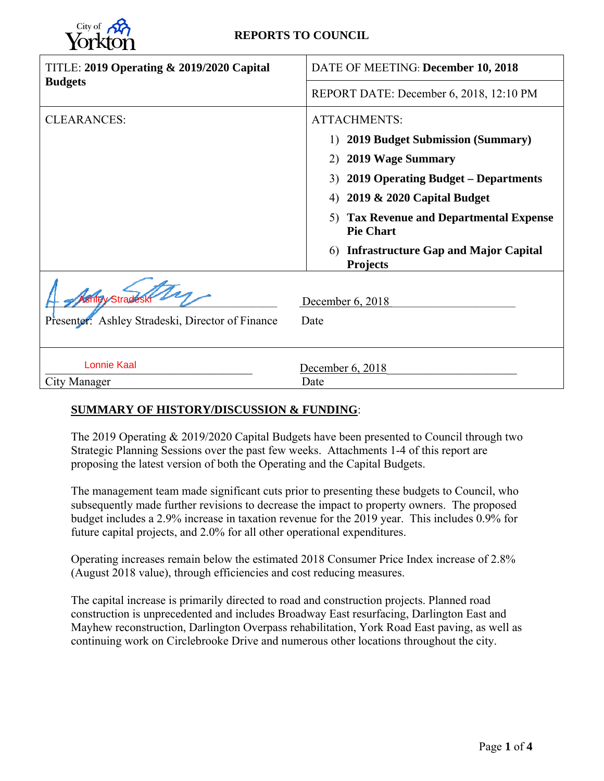

# **REPORTS TO COUNCIL**

| TITLE: 2019 Operating & 2019/2020 Capital        | DATE OF MEETING: December 10, 2018                                    |  |  |  |  |
|--------------------------------------------------|-----------------------------------------------------------------------|--|--|--|--|
| <b>Budgets</b>                                   | REPORT DATE: December 6, 2018, 12:10 PM                               |  |  |  |  |
| <b>CLEARANCES:</b>                               | <b>ATTACHMENTS:</b>                                                   |  |  |  |  |
|                                                  | <b>2019 Budget Submission (Summary)</b><br>1)                         |  |  |  |  |
|                                                  | 2) 2019 Wage Summary                                                  |  |  |  |  |
|                                                  | 3) 2019 Operating Budget – Departments                                |  |  |  |  |
|                                                  | 4) 2019 & 2020 Capital Budget                                         |  |  |  |  |
|                                                  | <b>Tax Revenue and Departmental Expense</b><br>5)<br><b>Pie Chart</b> |  |  |  |  |
|                                                  | <b>Infrastructure Gap and Major Capital</b><br>6)<br><b>Projects</b>  |  |  |  |  |
| Presenter: Ashley Stradeski, Director of Finance | December 6, 2018<br>Date                                              |  |  |  |  |
| <b>Lonnie Kaal</b>                               | December 6, 2018                                                      |  |  |  |  |
| <b>City Manager</b>                              | Date                                                                  |  |  |  |  |

# **SUMMARY OF HISTORY/DISCUSSION & FUNDING**:

The 2019 Operating & 2019/2020 Capital Budgets have been presented to Council through two Strategic Planning Sessions over the past few weeks. Attachments 1-4 of this report are proposing the latest version of both the Operating and the Capital Budgets.

The management team made significant cuts prior to presenting these budgets to Council, who subsequently made further revisions to decrease the impact to property owners. The proposed budget includes a 2.9% increase in taxation revenue for the 2019 year. This includes 0.9% for future capital projects, and 2.0% for all other operational expenditures.

Operating increases remain below the estimated 2018 Consumer Price Index increase of 2.8% (August 2018 value), through efficiencies and cost reducing measures.

The capital increase is primarily directed to road and construction projects. Planned road construction is unprecedented and includes Broadway East resurfacing, Darlington East and Mayhew reconstruction, Darlington Overpass rehabilitation, York Road East paving, as well as continuing work on Circlebrooke Drive and numerous other locations throughout the city.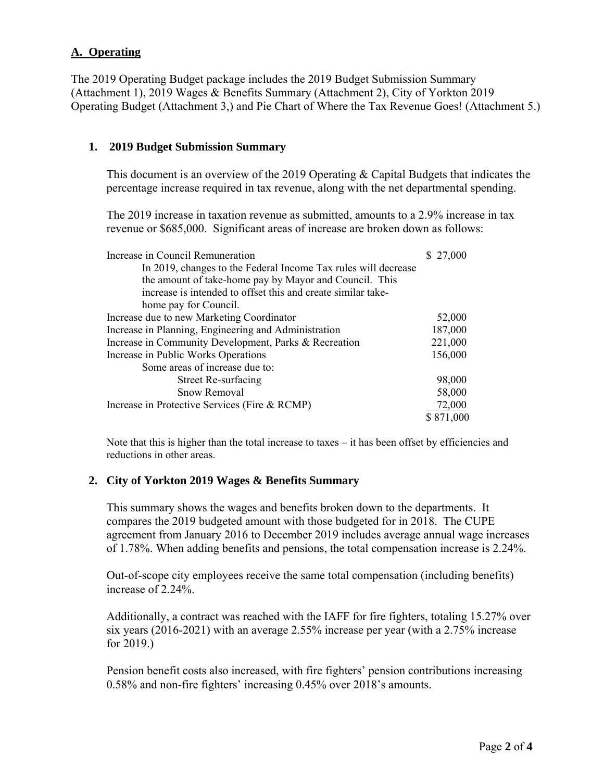# **A. Operating**

The 2019 Operating Budget package includes the 2019 Budget Submission Summary (Attachment 1), 2019 Wages & Benefits Summary (Attachment 2), City of Yorkton 2019 Operating Budget (Attachment 3,) and Pie Chart of Where the Tax Revenue Goes! (Attachment 5.)

# **1. 2019 Budget Submission Summary**

This document is an overview of the 2019 Operating & Capital Budgets that indicates the percentage increase required in tax revenue, along with the net departmental spending.

The 2019 increase in taxation revenue as submitted, amounts to a 2.9% increase in tax revenue or \$685,000. Significant areas of increase are broken down as follows:

| Increase in Council Remuneration                               | 27,000    |
|----------------------------------------------------------------|-----------|
| In 2019, changes to the Federal Income Tax rules will decrease |           |
| the amount of take-home pay by Mayor and Council. This         |           |
| increase is intended to offset this and create similar take-   |           |
| home pay for Council.                                          |           |
| Increase due to new Marketing Coordinator                      | 52,000    |
| Increase in Planning, Engineering and Administration           | 187,000   |
| Increase in Community Development, Parks & Recreation          | 221,000   |
| Increase in Public Works Operations                            | 156,000   |
| Some areas of increase due to:                                 |           |
| <b>Street Re-surfacing</b>                                     | 98,000    |
| Snow Removal                                                   | 58,000    |
| Increase in Protective Services (Fire & RCMP)                  | 72,000    |
|                                                                | \$871,000 |

Note that this is higher than the total increase to taxes – it has been offset by efficiencies and reductions in other areas.

# **2. City of Yorkton 2019 Wages & Benefits Summary**

This summary shows the wages and benefits broken down to the departments. It compares the 2019 budgeted amount with those budgeted for in 2018. The CUPE agreement from January 2016 to December 2019 includes average annual wage increases of 1.78%. When adding benefits and pensions, the total compensation increase is 2.24%.

Out-of-scope city employees receive the same total compensation (including benefits) increase of 2.24%.

Additionally, a contract was reached with the IAFF for fire fighters, totaling 15.27% over six years (2016-2021) with an average 2.55% increase per year (with a 2.75% increase for 2019.)

Pension benefit costs also increased, with fire fighters' pension contributions increasing 0.58% and non-fire fighters' increasing 0.45% over 2018's amounts.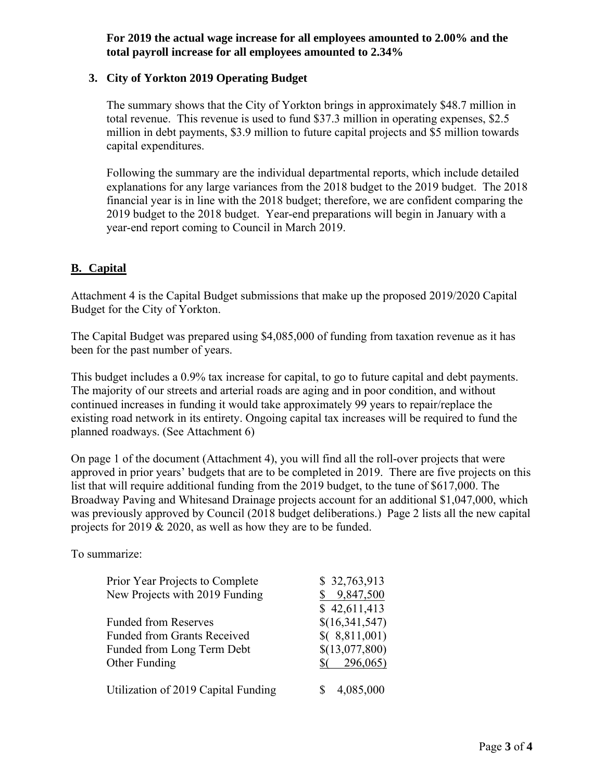**For 2019 the actual wage increase for all employees amounted to 2.00% and the total payroll increase for all employees amounted to 2.34%** 

# **3. City of Yorkton 2019 Operating Budget**

The summary shows that the City of Yorkton brings in approximately \$48.7 million in total revenue. This revenue is used to fund \$37.3 million in operating expenses, \$2.5 million in debt payments, \$3.9 million to future capital projects and \$5 million towards capital expenditures.

Following the summary are the individual departmental reports, which include detailed explanations for any large variances from the 2018 budget to the 2019 budget. The 2018 financial year is in line with the 2018 budget; therefore, we are confident comparing the 2019 budget to the 2018 budget. Year-end preparations will begin in January with a year-end report coming to Council in March 2019.

# **B. Capital**

Attachment 4 is the Capital Budget submissions that make up the proposed 2019/2020 Capital Budget for the City of Yorkton.

The Capital Budget was prepared using \$4,085,000 of funding from taxation revenue as it has been for the past number of years.

This budget includes a 0.9% tax increase for capital, to go to future capital and debt payments. The majority of our streets and arterial roads are aging and in poor condition, and without continued increases in funding it would take approximately 99 years to repair/replace the existing road network in its entirety. Ongoing capital tax increases will be required to fund the planned roadways. (See Attachment 6)

On page 1 of the document (Attachment 4), you will find all the roll-over projects that were approved in prior years' budgets that are to be completed in 2019. There are five projects on this list that will require additional funding from the 2019 budget, to the tune of \$617,000. The Broadway Paving and Whitesand Drainage projects account for an additional \$1,047,000, which was previously approved by Council (2018 budget deliberations.) Page 2 lists all the new capital projects for 2019 & 2020, as well as how they are to be funded.

To summarize:

| Prior Year Projects to Complete     | \$32,763,913   |
|-------------------------------------|----------------|
| New Projects with 2019 Funding      | 9,847,500      |
|                                     | \$42,611,413   |
| <b>Funded from Reserves</b>         | \$(16,341,547) |
| <b>Funded from Grants Received</b>  | \$(8,811,001)  |
| Funded from Long Term Debt          | \$(13,077,800) |
| Other Funding                       | 296,065)       |
| Utilization of 2019 Capital Funding | 4,085,000      |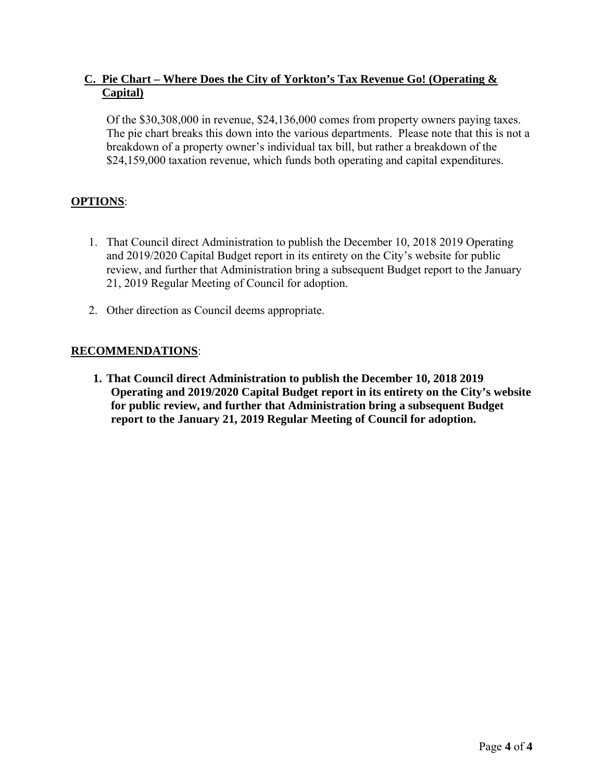# **C. Pie Chart – Where Does the City of Yorkton's Tax Revenue Go! (Operating & Capital)**

Of the \$30,308,000 in revenue, \$24,136,000 comes from property owners paying taxes. The pie chart breaks this down into the various departments. Please note that this is not a breakdown of a property owner's individual tax bill, but rather a breakdown of the \$24,159,000 taxation revenue, which funds both operating and capital expenditures.

# **OPTIONS**:

- 1. That Council direct Administration to publish the December 10, 2018 2019 Operating and 2019/2020 Capital Budget report in its entirety on the City's website for public review, and further that Administration bring a subsequent Budget report to the January 21, 2019 Regular Meeting of Council for adoption.
- 2. Other direction as Council deems appropriate.

# **RECOMMENDATIONS**:

**1. That Council direct Administration to publish the December 10, 2018 2019 Operating and 2019/2020 Capital Budget report in its entirety on the City's website for public review, and further that Administration bring a subsequent Budget report to the January 21, 2019 Regular Meeting of Council for adoption.**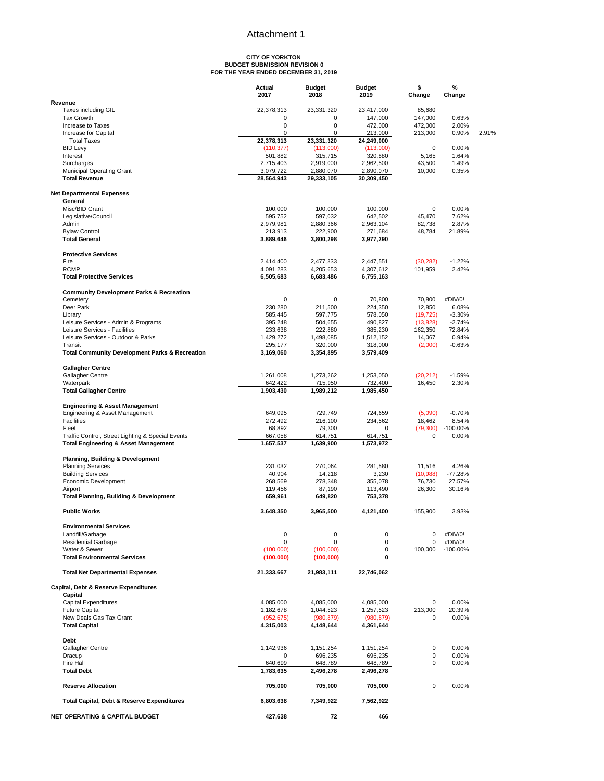# **CITY OF YORKTON BUDGET SUBMISSION REVISION 0 FOR THE YEAR ENDED DECEMBER 31, 2019**

|                                                              | Actual<br>2017     | <b>Budget</b><br>2018 | <b>Budget</b><br>2019 | \$<br>Change | %<br>Change    |       |
|--------------------------------------------------------------|--------------------|-----------------------|-----------------------|--------------|----------------|-------|
| Revenue                                                      |                    |                       |                       |              |                |       |
| Taxes including GIL                                          | 22,378,313         | 23,331,320            | 23,417,000            | 85.680       |                |       |
| <b>Tax Growth</b>                                            | 0                  | 0                     | 147,000               | 147,000      | 0.63%          |       |
| Increase to Taxes                                            | 0<br>0             | $\mathbf 0$<br>0      | 472,000               | 472,000      | 2.00%          | 2.91% |
| Increase for Capital<br><b>Total Taxes</b>                   | 22,378,313         | 23,331,320            | 213,000<br>24,249,000 | 213,000      | 0.90%          |       |
| <b>BID Levy</b>                                              | (110, 377)         | (113,000)             | (113,000)             | $\mathbf 0$  | 0.00%          |       |
| Interest                                                     | 501,882            | 315,715               | 320,880               | 5,165        | 1.64%          |       |
| Surcharges                                                   | 2,715,403          | 2,919,000             | 2,962,500             | 43,500       | 1.49%          |       |
| <b>Municipal Operating Grant</b>                             | 3,079,722          | 2,880,070             | 2,890,070             | 10,000       | 0.35%          |       |
| <b>Total Revenue</b>                                         | 28,564,943         | 29,333,105            | 30,309,450            |              |                |       |
| <b>Net Departmental Expenses</b>                             |                    |                       |                       |              |                |       |
| General                                                      |                    |                       |                       |              |                |       |
| Misc/BID Grant                                               | 100,000            | 100,000               | 100,000               | 0            | 0.00%          |       |
| Legislative/Council                                          | 595,752            | 597,032               | 642,502               | 45,470       | 7.62%          |       |
| Admin                                                        | 2,979,981          | 2,880,366             | 2,963,104             | 82,738       | 2.87%          |       |
| <b>Bylaw Control</b>                                         | 213,913            | 222,900               | 271,684               | 48,784       | 21.89%         |       |
| <b>Total General</b>                                         | 3,889,646          | 3,800,298             | 3,977,290             |              |                |       |
| <b>Protective Services</b>                                   |                    |                       |                       |              |                |       |
| Fire                                                         | 2,414,400          | 2,477,833             | 2,447,551             | (30, 282)    | $-1.22%$       |       |
| <b>RCMP</b>                                                  | 4,091,283          | 4,205,653             | 4,307,612             | 101,959      | 2.42%          |       |
| <b>Total Protective Services</b>                             | 6,505,683          | 6,683,486             | 6,755,163             |              |                |       |
| <b>Community Development Parks &amp; Recreation</b>          |                    |                       |                       |              |                |       |
| Cemetery                                                     | 0                  | 0                     | 70,800                | 70,800       | #DIV/0!        |       |
| Deer Park                                                    | 230,280            | 211,500               | 224,350               | 12,850       | 6.08%          |       |
| Library                                                      | 585,445            | 597,775               | 578,050               | (19, 725)    | $-3.30%$       |       |
| Leisure Services - Admin & Programs                          | 395,248            | 504,655               | 490,827               | (13,828)     | $-2.74%$       |       |
| Leisure Services - Facilities                                | 233,638            | 222,880               | 385,230               | 162,350      | 72.84%         |       |
| Leisure Services - Outdoor & Parks                           | 1,429,272          | 1,498,085             | 1,512,152             | 14,067       | 0.94%          |       |
| Transit                                                      | 295,177            | 320,000               | 318,000               | (2,000)      | $-0.63%$       |       |
| <b>Total Community Development Parks &amp; Recreation</b>    | 3,169,060          | 3,354,895             | 3,579,409             |              |                |       |
| <b>Gallagher Centre</b>                                      |                    |                       |                       |              |                |       |
| Gallagher Centre                                             | 1,261,008          | 1,273,262             | 1,253,050             | (20, 212)    | $-1.59%$       |       |
| Waterpark                                                    | 642,422            | 715,950               | 732,400               | 16,450       | 2.30%          |       |
| <b>Total Gallagher Centre</b>                                | 1,903,430          | 1,989,212             | 1,985,450             |              |                |       |
| <b>Engineering &amp; Asset Management</b>                    |                    |                       |                       |              |                |       |
| Engineering & Asset Management                               | 649,095            | 729,749               | 724,659               | (5,090)      | $-0.70%$       |       |
| Facilities                                                   | 272,492            | 216,100               | 234,562               | 18,462       | 8.54%          |       |
| Fleet                                                        | 68,892             | 79,300                | 0                     | (79, 300)    | $-100.00\%$    |       |
| Traffic Control, Street Lighting & Special Events            | 667,058            | 614,751               | 614,751               | 0            | 0.00%          |       |
| <b>Total Engineering &amp; Asset Management</b>              | 1,657,537          | 1,639,900             | 1,573,972             |              |                |       |
| <b>Planning, Building &amp; Development</b>                  |                    |                       |                       |              |                |       |
| <b>Planning Services</b>                                     | 231,032            | 270,064               | 281,580               | 11,516       | 4.26%          |       |
| <b>Building Services</b>                                     | 40,904             | 14,218                | 3,230                 | (10, 988)    | -77.28%        |       |
| Economic Development                                         | 268,569            | 278,348               | 355,078               | 76,730       | 27.57%         |       |
| Airport<br><b>Total Planning, Building &amp; Development</b> | 119,456<br>659,961 | 87,190<br>649,820     | 113,490<br>753,378    | 26,300       | 30.16%         |       |
|                                                              |                    |                       |                       |              |                |       |
| <b>Public Works</b>                                          | 3,648,350          | 3,965,500             | 4,121,400             | 155,900      | 3.93%          |       |
| Environmental Services                                       |                    |                       |                       |              |                |       |
| Landfill/Garbage                                             | 0                  | $\mathbf 0$           | $\pmb{0}$             | 0            | #DIV/0!        |       |
| <b>Residential Garbage</b>                                   | 0                  | 0                     | $\mathsf 0$           | 0            | #DIV/0!        |       |
| Water & Sewer                                                | (100,000)          | (100.000)             | 0<br>$\bf{0}$         | 100,000      | $-100.00\%$    |       |
| <b>Total Environmental Services</b>                          | (100,000)          | (100,000)             |                       |              |                |       |
| <b>Total Net Departmental Expenses</b>                       | 21,333,667         | 21,983,111            | 22,746,062            |              |                |       |
| Capital, Debt & Reserve Expenditures                         |                    |                       |                       |              |                |       |
| Capital                                                      |                    |                       |                       |              |                |       |
| <b>Capital Expenditures</b>                                  | 4,085,000          | 4,085,000             | 4,085,000             | 0            | 0.00%          |       |
| <b>Future Capital</b>                                        | 1,182,678          | 1,044,523             | 1,257,523             | 213,000      | 20.39%         |       |
| New Deals Gas Tax Grant                                      | (952, 675)         | (980, 879)            | (980, 879)            | 0            | 0.00%          |       |
| <b>Total Capital</b>                                         | 4,315,003          | 4,148,644             | 4,361,644             |              |                |       |
| Debt                                                         |                    |                       |                       | 0            | 0.00%          |       |
| Gallagher Centre                                             | 1,142,936          | 1,151,254             | 1,151,254             | 0            |                |       |
| Dracup<br>Fire Hall                                          | 0<br>640,699       | 696,235               | 696,235               | 0            | 0.00%<br>0.00% |       |
| <b>Total Debt</b>                                            | 1,783,635          | 648,789<br>2,496,278  | 648,789<br>2,496,278  |              |                |       |
|                                                              |                    |                       |                       |              |                |       |
| <b>Reserve Allocation</b>                                    | 705,000            | 705,000               | 705,000               | 0            | 0.00%          |       |
| Total Capital, Debt & Reserve Expenditures                   | 6,803,638          | 7,349,922             | 7,562,922             |              |                |       |
| <b>NET OPERATING &amp; CAPITAL BUDGET</b>                    | 427,638            | 72                    | 466                   |              |                |       |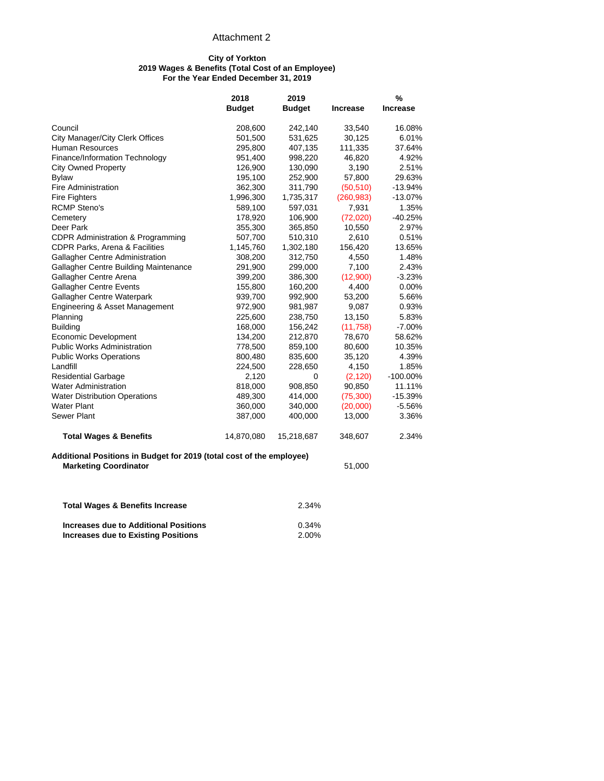#### **City of Yorkton 2019 Wages & Benefits (Total Cost of an Employee) For the Year Ended December 31, 2019**

|                                                                                                      | 2018          | 2019          |                 | %               |
|------------------------------------------------------------------------------------------------------|---------------|---------------|-----------------|-----------------|
|                                                                                                      | <b>Budget</b> | <b>Budget</b> | <b>Increase</b> | <b>Increase</b> |
| Council                                                                                              | 208,600       | 242,140       | 33,540          | 16.08%          |
| City Manager/City Clerk Offices                                                                      | 501,500       | 531,625       | 30,125          | 6.01%           |
| <b>Human Resources</b>                                                                               | 295,800       | 407,135       | 111,335         | 37.64%          |
| Finance/Information Technology                                                                       | 951,400       | 998,220       | 46,820          | 4.92%           |
| <b>City Owned Property</b>                                                                           | 126,900       | 130,090       | 3,190           | 2.51%           |
| <b>Bylaw</b>                                                                                         | 195,100       | 252,900       | 57,800          | 29.63%          |
| <b>Fire Administration</b>                                                                           | 362,300       | 311,790       | (50, 510)       | $-13.94%$       |
| <b>Fire Fighters</b>                                                                                 | 1,996,300     | 1,735,317     | (260, 983)      | $-13.07%$       |
| <b>RCMP Steno's</b>                                                                                  | 589,100       | 597,031       | 7,931           | 1.35%           |
| Cemetery                                                                                             | 178,920       | 106,900       | (72,020)        | $-40.25%$       |
| Deer Park                                                                                            | 355,300       | 365,850       | 10,550          | 2.97%           |
| CDPR Administration & Programming                                                                    | 507,700       | 510,310       | 2,610           | 0.51%           |
| CDPR Parks, Arena & Facilities                                                                       | 1,145,760     | 1,302,180     | 156,420         | 13.65%          |
| Gallagher Centre Administration                                                                      | 308,200       | 312,750       | 4,550           | 1.48%           |
| Gallagher Centre Building Maintenance                                                                | 291,900       | 299,000       | 7,100           | 2.43%           |
| Gallagher Centre Arena                                                                               | 399,200       | 386,300       | (12,900)        | $-3.23%$        |
| <b>Gallagher Centre Events</b>                                                                       | 155,800       | 160,200       | 4,400           | 0.00%           |
| Gallagher Centre Waterpark                                                                           | 939,700       | 992,900       | 53,200          | 5.66%           |
| Engineering & Asset Management                                                                       | 972,900       | 981,987       | 9,087           | 0.93%           |
| Planning                                                                                             | 225,600       | 238,750       | 13,150          | 5.83%           |
| <b>Building</b>                                                                                      | 168,000       | 156,242       | (11,758)        | $-7.00%$        |
| Economic Development                                                                                 | 134,200       | 212,870       | 78,670          | 58.62%          |
| <b>Public Works Administration</b>                                                                   | 778,500       | 859,100       | 80,600          | 10.35%          |
| <b>Public Works Operations</b>                                                                       | 800,480       | 835,600       | 35,120          | 4.39%           |
| Landfill                                                                                             | 224,500       | 228,650       | 4,150           | 1.85%           |
| <b>Residential Garbage</b>                                                                           | 2,120         | 0             | (2, 120)        | $-100.00\%$     |
| <b>Water Administration</b>                                                                          | 818,000       | 908,850       | 90,850          | 11.11%          |
| <b>Water Distribution Operations</b>                                                                 | 489,300       | 414,000       | (75, 300)       | $-15.39%$       |
| <b>Water Plant</b>                                                                                   | 360,000       | 340,000       | (20,000)        | $-5.56%$        |
| Sewer Plant                                                                                          | 387,000       | 400,000       | 13,000          | 3.36%           |
| <b>Total Wages &amp; Benefits</b>                                                                    | 14,870,080    | 15,218,687    | 348,607         | 2.34%           |
| Additional Positions in Budget for 2019 (total cost of the employee)<br><b>Marketing Coordinator</b> |               |               | 51,000          |                 |
|                                                                                                      |               |               |                 |                 |

| <b>Total Wages &amp; Benefits Increase</b>   | 2.34%    |
|----------------------------------------------|----------|
| <b>Increases due to Additional Positions</b> | $0.34\%$ |
| <b>Increases due to Existing Positions</b>   | 2.00%    |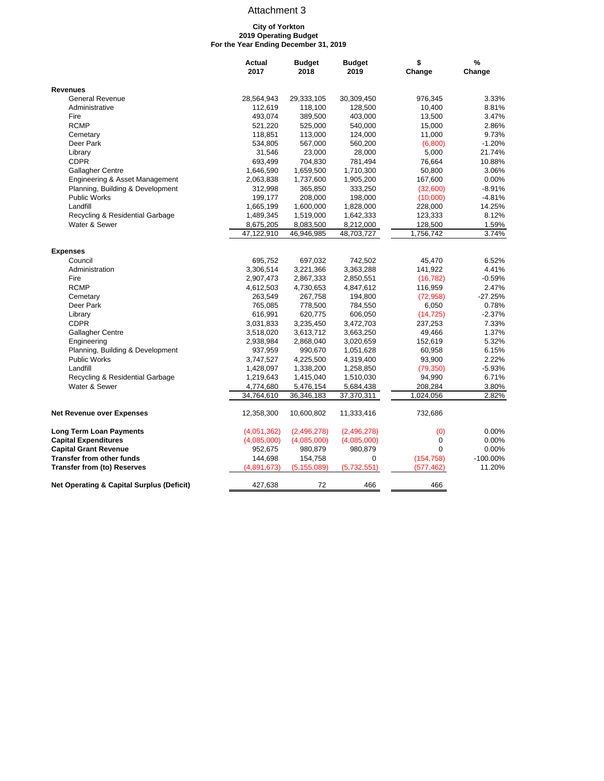#### **City of Yorkton 2019 Operating Budget For the Year Ending December 31, 2019**

|                                                      | Actual      | <b>Budget</b> | <b>Budget</b> | \$          | %           |
|------------------------------------------------------|-------------|---------------|---------------|-------------|-------------|
|                                                      | 2017        | 2018          | 2019          | Change      | Change      |
| <b>Revenues</b>                                      |             |               |               |             |             |
| <b>General Revenue</b>                               | 28,564,943  | 29,333,105    | 30,309,450    | 976,345     | 3.33%       |
| Administrative                                       | 112,619     | 118,100       | 128,500       | 10,400      | 8.81%       |
| Fire                                                 | 493,074     | 389,500       | 403,000       | 13,500      | 3.47%       |
| <b>RCMP</b>                                          | 521,220     | 525,000       | 540,000       | 15,000      | 2.86%       |
| Cemetary                                             | 118,851     | 113,000       | 124,000       | 11,000      | 9.73%       |
| Deer Park                                            | 534,805     | 567,000       | 560,200       | (6,800)     | $-1.20%$    |
| Library                                              | 31,546      | 23,000        | 28,000        | 5,000       | 21.74%      |
| <b>CDPR</b>                                          | 693,499     | 704,830       | 781,494       | 76,664      | 10.88%      |
| Gallagher Centre                                     | 1,646,590   | 1,659,500     | 1,710,300     | 50,800      | 3.06%       |
| Engineering & Asset Management                       | 2,063,838   | 1,737,600     | 1,905,200     | 167,600     | 0.00%       |
| Planning, Building & Development                     | 312,998     | 365,850       | 333,250       | (32,600)    | $-8.91%$    |
| Public Works                                         | 199,177     | 208,000       | 198,000       | (10,000)    | $-4.81%$    |
| Landfill                                             | 1,665,199   | 1,600,000     | 1,828,000     | 228,000     | 14.25%      |
| Recycling & Residential Garbage                      | 1,489,345   | 1,519,000     | 1,642,333     | 123,333     | 8.12%       |
| Water & Sewer                                        | 8,675,205   | 8,083,500     | 8,212,000     | 128,500     | 1.59%       |
|                                                      | 47,122,910  | 46,946,985    | 48,703,727    | 1,756,742   | 3.74%       |
|                                                      |             |               |               |             |             |
| <b>Expenses</b><br>Council                           | 695,752     | 697,032       | 742,502       | 45,470      | 6.52%       |
| Administration                                       | 3,306,514   | 3,221,366     | 3,363,288     | 141,922     | 4.41%       |
| Fire                                                 | 2,907,473   | 2,867,333     | 2,850,551     | (16, 782)   | $-0.59%$    |
| <b>RCMP</b>                                          | 4,612,503   | 4,730,653     | 4,847,612     | 116,959     | 2.47%       |
| Cemetary                                             | 263,549     | 267,758       | 194,800       | (72, 958)   | $-27.25%$   |
| Deer Park                                            | 765,085     | 778,500       | 784,550       | 6,050       | 0.78%       |
| Library                                              | 616,991     | 620,775       | 606,050       | (14, 725)   | $-2.37%$    |
| <b>CDPR</b>                                          | 3,031,833   | 3,235,450     | 3,472,703     | 237,253     | 7.33%       |
| Gallagher Centre                                     | 3,518,020   | 3,613,712     | 3,663,250     | 49,466      | 1.37%       |
| Engineering                                          | 2,938,984   | 2,868,040     | 3,020,659     | 152,619     | 5.32%       |
| Planning, Building & Development                     | 937,959     | 990,670       | 1,051,628     | 60,958      | 6.15%       |
| <b>Public Works</b>                                  | 3,747,527   | 4,225,500     | 4,319,400     | 93,900      | 2.22%       |
| Landfill                                             | 1,428,097   | 1,338,200     | 1,258,850     | (79, 350)   | $-5.93%$    |
| Recycling & Residential Garbage                      | 1,219,643   | 1,415,040     | 1,510,030     | 94,990      | 6.71%       |
| Water & Sewer                                        | 4,774,680   | 5,476,154     | 5,684,438     | 208,284     | 3.80%       |
|                                                      | 34,764,610  | 36,346,183    | 37,370,311    | 1,024,056   | 2.82%       |
|                                                      |             |               |               |             |             |
| <b>Net Revenue over Expenses</b>                     | 12,358,300  | 10,600,802    | 11,333,416    | 732,686     |             |
| <b>Long Term Loan Payments</b>                       | (4,051,362) | (2,496,278)   | (2,496,278)   | (0)         | 0.00%       |
| <b>Capital Expenditures</b>                          | (4,085,000) | (4,085,000)   | (4,085,000)   | $\mathbf 0$ | 0.00%       |
| <b>Capital Grant Revenue</b>                         | 952,675     | 980,879       | 980,879       | $\Omega$    | 0.00%       |
| <b>Transfer from other funds</b>                     | 144,698     | 154,758       | 0             | (154, 758)  | $-100.00\%$ |
| <b>Transfer from (to) Reserves</b>                   | (4,891,673) | (5, 155, 089) | (5,732,551)   | (577, 462)  | 11.20%      |
| <b>Net Operating &amp; Capital Surplus (Deficit)</b> | 427,638     | 72            | 466           | 466         |             |
|                                                      |             |               |               |             |             |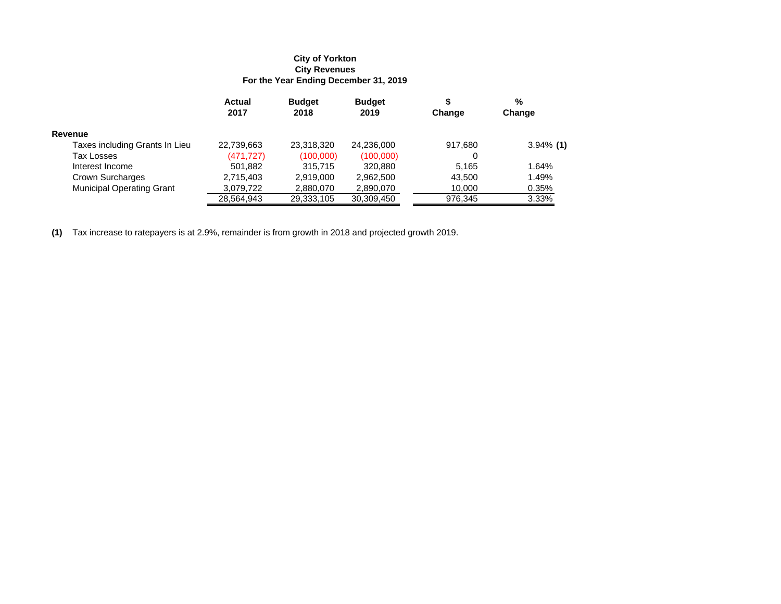#### **For the Year Ending December 31, 2019 City Revenues City of Yorkton**

|                                  | <b>Actual</b><br>2017 | <b>Budget</b><br>2018 | <b>Budget</b><br>2019 | Change  | %<br>Change  |
|----------------------------------|-----------------------|-----------------------|-----------------------|---------|--------------|
| Revenue                          |                       |                       |                       |         |              |
| Taxes including Grants In Lieu   | 22,739,663            | 23,318,320            | 24,236,000            | 917,680 | $3.94\%$ (1) |
| Tax Losses                       | (471, 727)            | (100,000)             | (100,000)             | 0       |              |
| Interest Income                  | 501.882               | 315.715               | 320.880               | 5.165   | 1.64%        |
| Crown Surcharges                 | 2,715,403             | 2,919,000             | 2,962,500             | 43.500  | 1.49%        |
| <b>Municipal Operating Grant</b> | 3,079,722             | 2,880,070             | 2,890,070             | 10.000  | 0.35%        |
|                                  | 28,564,943            | 29,333,105            | 30,309,450            | 976.345 | 3.33%        |

**(1)** Tax increase to ratepayers is at 2.9%, remainder is from growth in 2018 and projected growth 2019.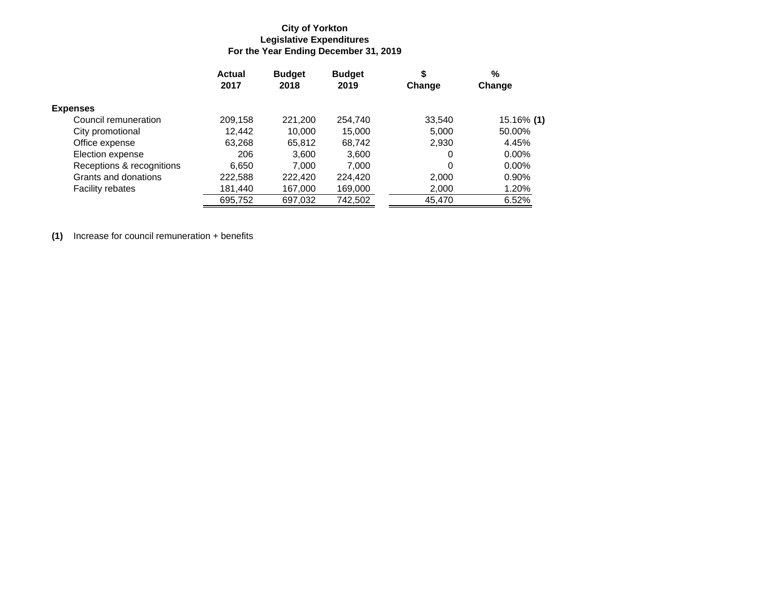### **For the Year Ending December 31, 2019 Legislative Expenditures City of Yorkton**

|                           | <b>Actual</b><br>2017 | <b>Budget</b><br>2018 | <b>Budget</b><br>2019 | \$<br>Change | %<br>Change |
|---------------------------|-----------------------|-----------------------|-----------------------|--------------|-------------|
| <b>Expenses</b>           |                       |                       |                       |              |             |
| Council remuneration      | 209,158               | 221,200               | 254,740               | 33,540       | 15.16% (1)  |
| City promotional          | 12,442                | 10,000                | 15,000                | 5,000        | 50.00%      |
| Office expense            | 63,268                | 65,812                | 68,742                | 2,930        | 4.45%       |
| Election expense          | 206                   | 3.600                 | 3,600                 | 0            | $0.00\%$    |
| Receptions & recognitions | 6,650                 | 7.000                 | 7.000                 | 0            | $0.00\%$    |
| Grants and donations      | 222,588               | 222,420               | 224.420               | 2,000        | 0.90%       |
| <b>Facility rebates</b>   | 181,440               | 167,000               | 169,000               | 2,000        | 1.20%       |
|                           | 695,752               | 697,032               | 742,502               | 45,470       | 6.52%       |

**(1)** Increase for council remuneration + benefits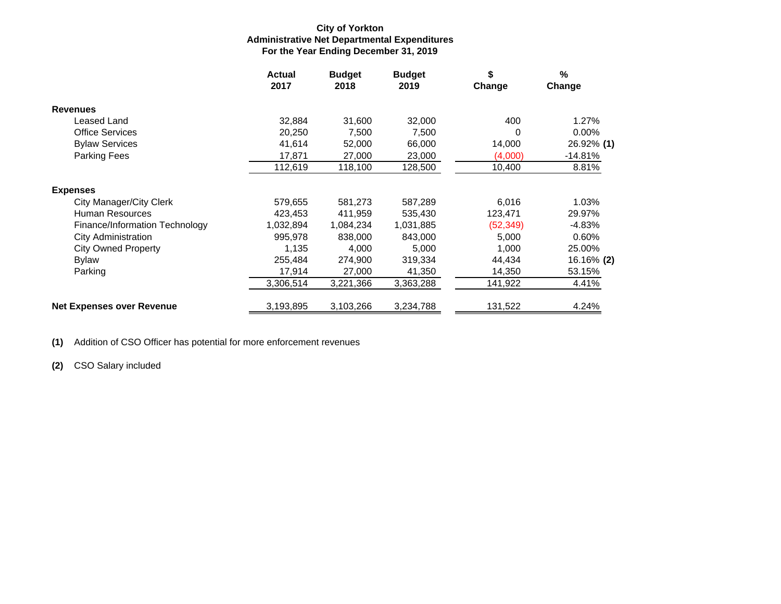### **For the Year Ending December 31, 2019 Administrative Net Departmental Expenditures City of Yorkton**

|                                  | <b>Actual</b><br>2017 | <b>Budget</b><br>2018 | <b>Budget</b><br>2019 | \$<br>Change | %<br>Change       |
|----------------------------------|-----------------------|-----------------------|-----------------------|--------------|-------------------|
| <b>Revenues</b>                  |                       |                       |                       |              |                   |
| Leased Land                      | 32,884                | 31,600                | 32,000                | 400          | 1.27%             |
| <b>Office Services</b>           | 20,250                | 7,500                 | 7,500                 | 0            | 0.00%             |
| <b>Bylaw Services</b>            | 41,614                | 52,000                | 66,000                | 14,000       | 26.92% (1)        |
| Parking Fees                     | 17,871                | 27,000                | 23,000                | (4,000)      | $-14.81%$         |
|                                  | 112,619               | 118,100               | 128,500               | 10,400       | 8.81%             |
| <b>Expenses</b>                  |                       |                       |                       |              |                   |
| <b>City Manager/City Clerk</b>   | 579,655               | 581,273               | 587,289               | 6,016        | 1.03%             |
| Human Resources                  | 423,453               | 411,959               | 535,430               | 123,471      | 29.97%            |
| Finance/Information Technology   | 1,032,894             | 1,084,234             | 1,031,885             | (52, 349)    | $-4.83%$          |
| <b>City Administration</b>       | 995,978               | 838,000               | 843,000               | 5,000        | 0.60%             |
| <b>City Owned Property</b>       | 1,135                 | 4,000                 | 5,000                 | 1,000        | 25.00%            |
| Bylaw                            | 255,484               | 274,900               | 319,334               | 44,434       | 16.16% <b>(2)</b> |
| Parking                          | 17,914                | 27,000                | 41,350                | 14,350       | 53.15%            |
|                                  | 3,306,514             | 3,221,366             | 3,363,288             | 141,922      | 4.41%             |
| <b>Net Expenses over Revenue</b> | 3,193,895             | 3,103,266             | 3,234,788             | 131,522      | 4.24%             |

**(1)** Addition of CSO Officer has potential for more enforcement revenues

**(2)** CSO Salary included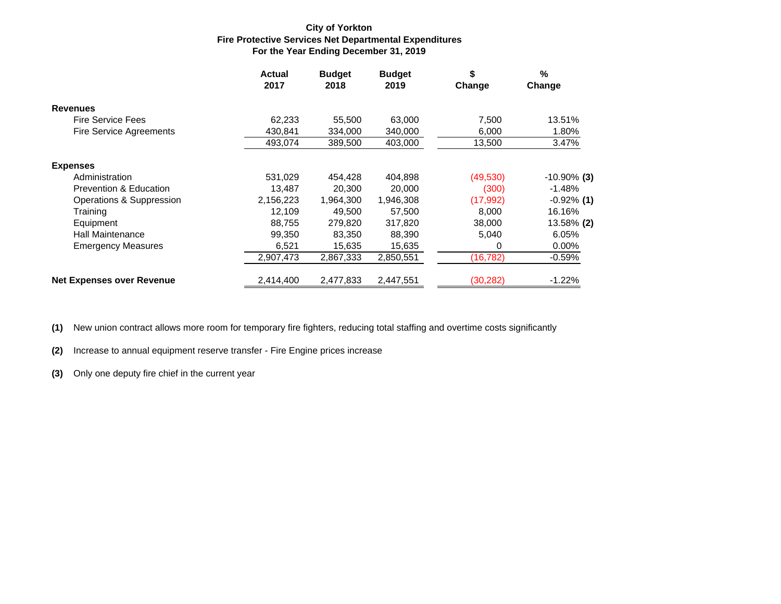#### **For the Year Ending December 31, 2019 Fire Protective Services Net Departmental Expenditures City of Yorkton**

|                                   | <b>Actual</b><br>2017 | <b>Budget</b><br>2018 | <b>Budget</b><br>2019 | \$<br>Change | $\%$<br>Change |
|-----------------------------------|-----------------------|-----------------------|-----------------------|--------------|----------------|
| <b>Revenues</b>                   |                       |                       |                       |              |                |
| <b>Fire Service Fees</b>          | 62,233                | 55,500                | 63,000                | 7,500        | 13.51%         |
| Fire Service Agreements           | 430,841               | 334,000               | 340,000               | 6,000        | 1.80%          |
|                                   | 493,074               | 389,500               | 403,000               | 13,500       | 3.47%          |
| <b>Expenses</b>                   |                       |                       |                       |              |                |
| Administration                    | 531.029               | 454.428               | 404,898               | (49,530)     | $-10.90\%$ (3) |
| <b>Prevention &amp; Education</b> | 13,487                | 20,300                | 20,000                | (300)        | $-1.48%$       |
| Operations & Suppression          | 2,156,223             | 1,964,300             | 1,946,308             | (17,992)     | $-0.92\%$ (1)  |
| Training                          | 12.109                | 49.500                | 57.500                | 8.000        | 16.16%         |
| Equipment                         | 88,755                | 279,820               | 317,820               | 38,000       | 13.58% (2)     |
| <b>Hall Maintenance</b>           | 99,350                | 83,350                | 88,390                | 5,040        | 6.05%          |
| <b>Emergency Measures</b>         | 6,521                 | 15,635                | 15,635                | 0            | $0.00\%$       |
|                                   | 2,907,473             | 2,867,333             | 2,850,551             | (16, 782)    | $-0.59%$       |
| <b>Net Expenses over Revenue</b>  | 2,414,400             | 2,477,833             | 2,447,551             | (30, 282)    | $-1.22%$       |

**(1)** New union contract allows more room for temporary fire fighters, reducing total staffing and overtime costs significantly

**(2)** Increase to annual equipment reserve transfer - Fire Engine prices increase

**(3)** Only one deputy fire chief in the current year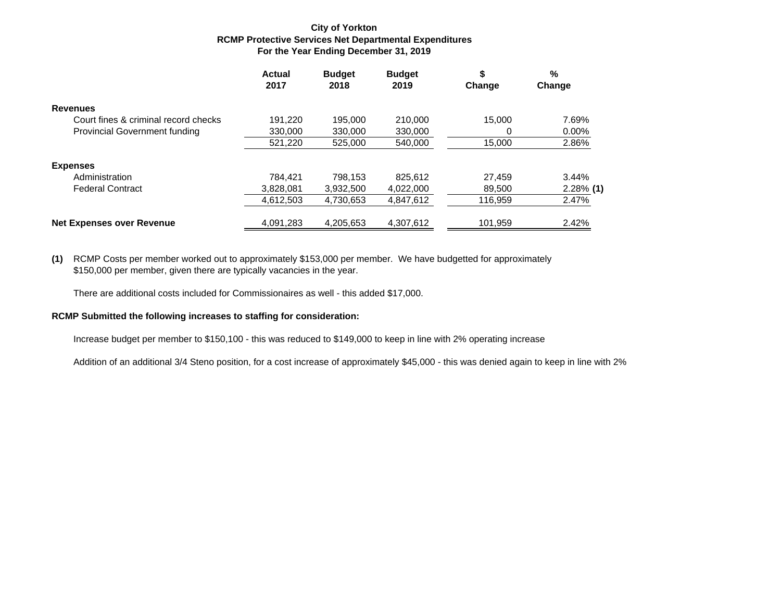#### **For the Year Ending December 31, 2019 RCMP Protective Services Net Departmental Expenditures City of Yorkton**

|                                      | Actual<br>2017 | <b>Budget</b><br>2018 | <b>Budget</b><br>2019 | \$<br>Change | %<br>Change  |
|--------------------------------------|----------------|-----------------------|-----------------------|--------------|--------------|
| <b>Revenues</b>                      |                |                       |                       |              |              |
| Court fines & criminal record checks | 191.220        | 195.000               | 210,000               | 15.000       | 7.69%        |
| <b>Provincial Government funding</b> | 330,000        | 330,000               | 330,000               | 0            | $0.00\%$     |
|                                      | 521,220        | 525,000               | 540,000               | 15.000       | 2.86%        |
| <b>Expenses</b>                      |                |                       |                       |              |              |
| Administration                       | 784.421        | 798.153               | 825.612               | 27.459       | 3.44%        |
| <b>Federal Contract</b>              | 3,828,081      | 3,932,500             | 4.022.000             | 89.500       | $2.28\%$ (1) |
|                                      | 4,612,503      | 4,730,653             | 4,847,612             | 116,959      | 2.47%        |
| <b>Net Expenses over Revenue</b>     | 4,091,283      | 4,205,653             | 4,307,612             | 101,959      | 2.42%        |

**(1)** RCMP Costs per member worked out to approximately \$153,000 per member. We have budgetted for approximately \$150,000 per member, given there are typically vacancies in the year.

There are additional costs included for Commissionaires as well - this added \$17,000.

#### **RCMP Submitted the following increases to staffing for consideration:**

Increase budget per member to \$150,100 - this was reduced to \$149,000 to keep in line with 2% operating increase

Addition of an additional 3/4 Steno position, for a cost increase of approximately \$45,000 - this was denied again to keep in line with 2%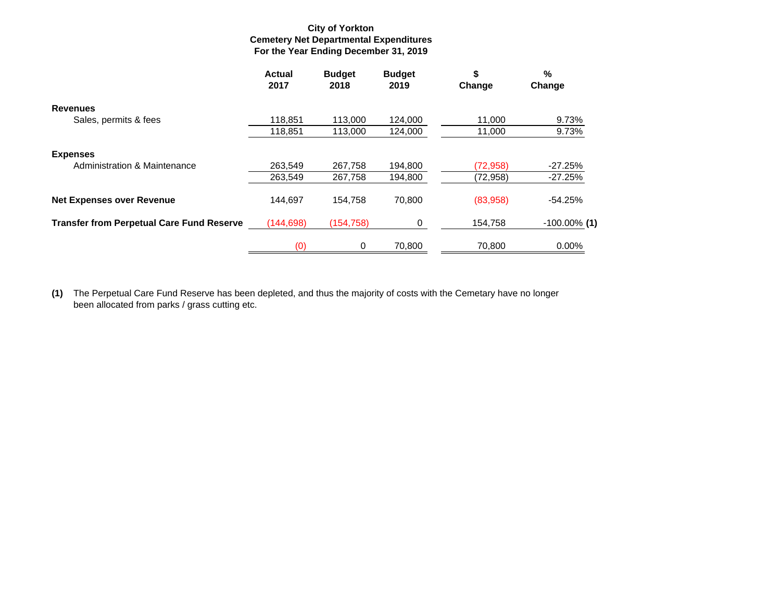#### **For the Year Ending December 31, 2019 Cemetery Net Departmental Expenditures City of Yorkton**

|                                                  | <b>Actual</b><br>2017 | <b>Budget</b><br>2018 | <b>Budget</b><br>2019 | \$<br>Change | %<br>Change     |
|--------------------------------------------------|-----------------------|-----------------------|-----------------------|--------------|-----------------|
| <b>Revenues</b>                                  |                       |                       |                       |              |                 |
| Sales, permits & fees                            | 118.851               | 113,000               | 124,000               | 11,000       | 9.73%           |
|                                                  | 118,851               | 113,000               | 124,000               | 11,000       | 9.73%           |
| <b>Expenses</b>                                  |                       |                       |                       |              |                 |
| Administration & Maintenance                     | 263,549               | 267,758               | 194,800               | (72,958)     | $-27.25%$       |
|                                                  | 263.549               | 267,758               | 194,800               | (72, 958)    | $-27.25%$       |
| <b>Net Expenses over Revenue</b>                 | 144.697               | 154.758               | 70.800                | (83,958)     | $-54.25%$       |
| <b>Transfer from Perpetual Care Fund Reserve</b> | (144, 698)            | (154, 758)            | 0                     | 154,758      | $-100.00\%$ (1) |
|                                                  | (0)                   | 0                     | 70,800                | 70,800       | $0.00\%$        |

**(1)** The Perpetual Care Fund Reserve has been depleted, and thus the majority of costs with the Cemetary have no longer been allocated from parks / grass cutting etc.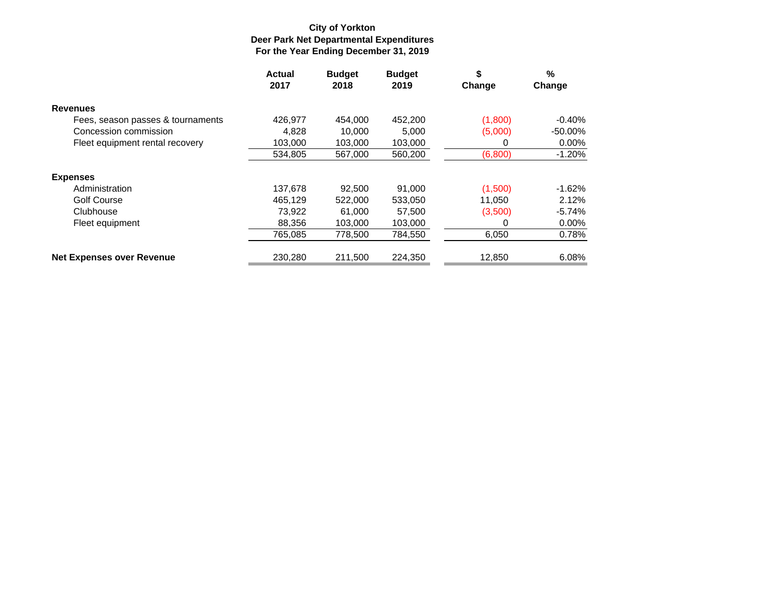### **For the Year Ending December 31, 2019 Deer Park Net Departmental Expenditures City of Yorkton**

|                                   | Actual<br>2017 | <b>Budget</b><br>2018 | <b>Budget</b><br>2019 | \$<br>Change | %<br>Change |
|-----------------------------------|----------------|-----------------------|-----------------------|--------------|-------------|
| <b>Revenues</b>                   |                |                       |                       |              |             |
| Fees, season passes & tournaments | 426.977        | 454.000               | 452,200               | (1,800)      | $-0.40%$    |
| Concession commission             | 4,828          | 10.000                | 5.000                 | (5,000)      | $-50.00\%$  |
| Fleet equipment rental recovery   | 103.000        | 103.000               | 103.000               | O            | $0.00\%$    |
|                                   | 534,805        | 567,000               | 560,200               | (6,800)      | $-1.20%$    |
| <b>Expenses</b>                   |                |                       |                       |              |             |
| Administration                    | 137,678        | 92.500                | 91.000                | (1,500)      | $-1.62%$    |
| <b>Golf Course</b>                | 465,129        | 522,000               | 533,050               | 11,050       | 2.12%       |
| Clubhouse                         | 73.922         | 61.000                | 57,500                | (3,500)      | $-5.74%$    |
| Fleet equipment                   | 88,356         | 103,000               | 103,000               |              | 0.00%       |
|                                   | 765.085        | 778,500               | 784,550               | 6,050        | 0.78%       |
| <b>Net Expenses over Revenue</b>  | 230,280        | 211,500               | 224,350               | 12,850       | 6.08%       |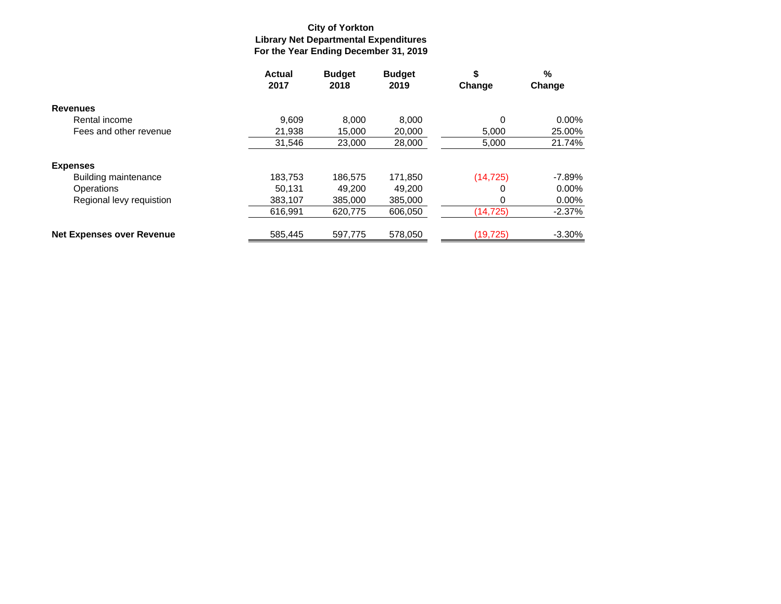### **For the Year Ending December 31, 2019 Library Net Departmental Expenditures City of Yorkton**

|                                  | <b>Actual</b><br>2017 | <b>Budget</b><br>2018 | <b>Budget</b><br>2019 | \$<br>Change | %<br>Change |
|----------------------------------|-----------------------|-----------------------|-----------------------|--------------|-------------|
| <b>Revenues</b>                  |                       |                       |                       |              |             |
| Rental income                    | 9.609                 | 8.000                 | 8.000                 | 0            | $0.00\%$    |
| Fees and other revenue           | 21,938                | 15,000                | 20,000                | 5,000        | 25.00%      |
|                                  | 31,546                | 23,000                | 28,000                | 5,000        | 21.74%      |
| <b>Expenses</b>                  |                       |                       |                       |              |             |
| <b>Building maintenance</b>      | 183,753               | 186,575               | 171,850               | (14, 725)    | $-7.89%$    |
| Operations                       | 50.131                | 49.200                | 49.200                | 0            | $0.00\%$    |
| Regional levy requistion         | 383,107               | 385,000               | 385,000               |              | $0.00\%$    |
|                                  | 616,991               | 620,775               | 606,050               | (14,725)     | $-2.37%$    |
| <b>Net Expenses over Revenue</b> | 585.445               | 597.775               | 578.050               | (19, 725)    | $-3.30%$    |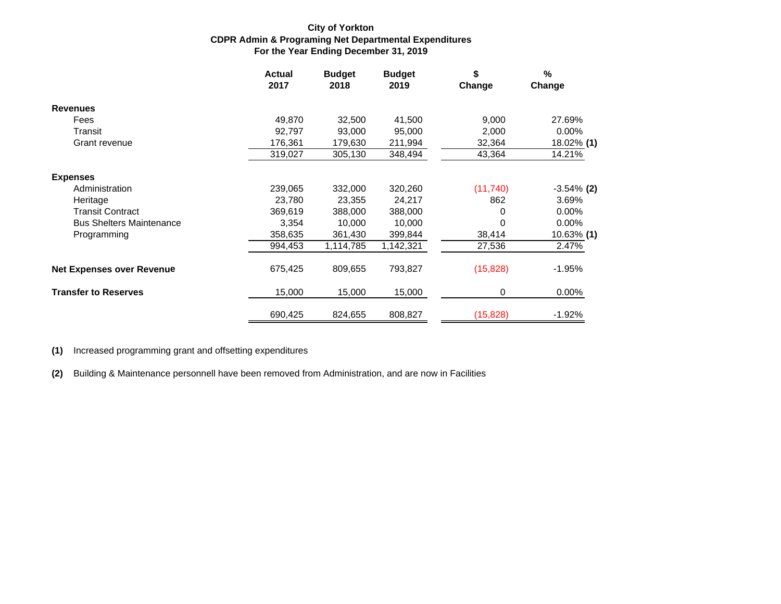#### **For the Year Ending December 31, 2019 CDPR Admin & Programing Net Departmental Expenditures City of Yorkton**

|                                  | <b>Actual</b><br>2017 | <b>Budget</b><br>2018 | <b>Budget</b><br>2019 | \$<br>Change | $\frac{9}{6}$<br>Change |
|----------------------------------|-----------------------|-----------------------|-----------------------|--------------|-------------------------|
| <b>Revenues</b>                  |                       |                       |                       |              |                         |
| Fees                             | 49,870                | 32,500                | 41,500                | 9,000        | 27.69%                  |
| Transit                          | 92,797                | 93,000                | 95,000                | 2,000        | $0.00\%$                |
| Grant revenue                    | 176,361               | 179,630               | 211,994               | 32,364       | 18.02% (1)              |
|                                  | 319,027               | 305,130               | 348,494               | 43,364       | 14.21%                  |
| <b>Expenses</b>                  |                       |                       |                       |              |                         |
| Administration                   | 239,065               | 332,000               | 320,260               | (11, 740)    | $-3.54\%$ (2)           |
| Heritage                         | 23,780                | 23,355                | 24,217                | 862          | 3.69%                   |
| <b>Transit Contract</b>          | 369,619               | 388,000               | 388,000               | 0            | $0.00\%$                |
| <b>Bus Shelters Maintenance</b>  | 3,354                 | 10,000                | 10,000                | 0            | 0.00%                   |
| Programming                      | 358,635               | 361,430               | 399,844               | 38,414       | 10.63% (1)              |
|                                  | 994,453               | 1,114,785             | 1,142,321             | 27,536       | 2.47%                   |
| <b>Net Expenses over Revenue</b> | 675,425               | 809,655               | 793,827               | (15, 828)    | $-1.95%$                |
| <b>Transfer to Reserves</b>      | 15,000                | 15,000                | 15,000                | 0            | 0.00%                   |
|                                  | 690,425               | 824,655               | 808,827               | (15, 828)    | $-1.92%$                |

**(1)** Increased programming grant and offsetting expenditures

**(2)** Building & Maintenance personnell have been removed from Administration, and are now in Facilities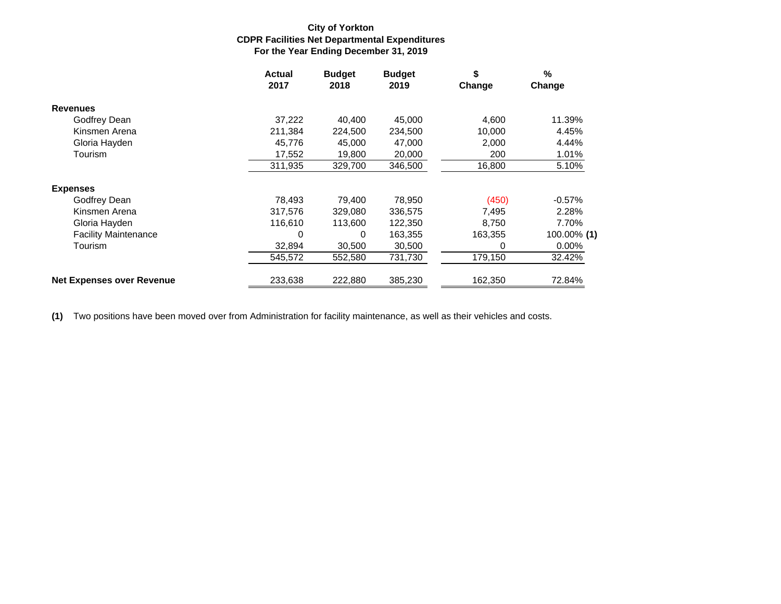#### **For the Year Ending December 31, 2019 CDPR Facilities Net Departmental Expenditures City of Yorkton**

|                                  | <b>Actual</b><br>2017 | <b>Budget</b><br>2018 | <b>Budget</b><br>2019 | \$<br>Change | %<br>Change |
|----------------------------------|-----------------------|-----------------------|-----------------------|--------------|-------------|
| <b>Revenues</b>                  |                       |                       |                       |              |             |
| Godfrey Dean                     | 37,222                | 40.400                | 45.000                | 4,600        | 11.39%      |
| Kinsmen Arena                    | 211,384               | 224,500               | 234,500               | 10,000       | 4.45%       |
| Gloria Hayden                    | 45,776                | 45,000                | 47,000                | 2,000        | 4.44%       |
| Tourism                          | 17,552                | 19,800                | 20,000                | 200          | 1.01%       |
|                                  | 311,935               | 329,700               | 346,500               | 16,800       | 5.10%       |
| <b>Expenses</b>                  |                       |                       |                       |              |             |
| Godfrey Dean                     | 78.493                | 79,400                | 78,950                | (450)        | $-0.57%$    |
| Kinsmen Arena                    | 317,576               | 329,080               | 336,575               | 7,495        | 2.28%       |
| Gloria Hayden                    | 116,610               | 113,600               | 122,350               | 8,750        | 7.70%       |
| <b>Facility Maintenance</b>      | 0                     | $\Omega$              | 163,355               | 163,355      | 100.00% (1) |
| Tourism                          | 32,894                | 30,500                | 30,500                | 0            | $0.00\%$    |
|                                  | 545,572               | 552,580               | 731,730               | 179,150      | 32.42%      |
| <b>Net Expenses over Revenue</b> | 233,638               | 222,880               | 385,230               | 162,350      | 72.84%      |

**(1)** Two positions have been moved over from Administration for facility maintenance, as well as their vehicles and costs.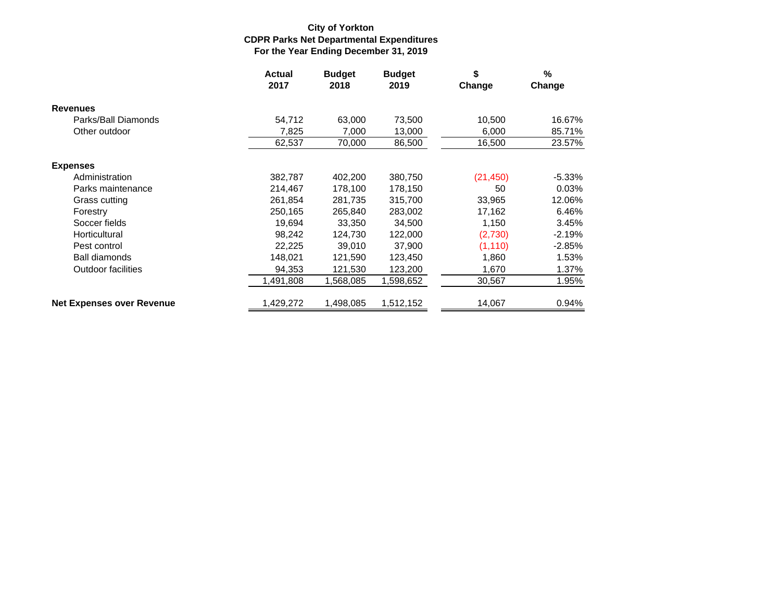### **For the Year Ending December 31, 2019 CDPR Parks Net Departmental Expenditures City of Yorkton**

|                                  | <b>Actual</b><br>2017 | <b>Budget</b><br>2018 | <b>Budget</b><br>2019 | \$<br>Change | %<br>Change |
|----------------------------------|-----------------------|-----------------------|-----------------------|--------------|-------------|
| <b>Revenues</b>                  |                       |                       |                       |              |             |
| Parks/Ball Diamonds              | 54,712                | 63,000                | 73,500                | 10,500       | 16.67%      |
| Other outdoor                    | 7,825                 | 7,000                 | 13,000                | 6,000        | 85.71%      |
|                                  | 62,537                | 70,000                | 86,500                | 16,500       | 23.57%      |
| <b>Expenses</b>                  |                       |                       |                       |              |             |
| Administration                   | 382,787               | 402,200               | 380,750               | (21, 450)    | $-5.33%$    |
| Parks maintenance                | 214,467               | 178,100               | 178,150               | 50           | 0.03%       |
| Grass cutting                    | 261,854               | 281,735               | 315,700               | 33,965       | 12.06%      |
| Forestry                         | 250,165               | 265,840               | 283,002               | 17,162       | 6.46%       |
| Soccer fields                    | 19,694                | 33,350                | 34,500                | 1,150        | 3.45%       |
| Horticultural                    | 98,242                | 124,730               | 122,000               | (2,730)      | $-2.19%$    |
| Pest control                     | 22,225                | 39,010                | 37,900                | (1, 110)     | $-2.85%$    |
| Ball diamonds                    | 148,021               | 121,590               | 123,450               | 1,860        | 1.53%       |
| <b>Outdoor facilities</b>        | 94,353                | 121,530               | 123,200               | 1,670        | 1.37%       |
|                                  | 1,491,808             | 1,568,085             | 1,598,652             | 30,567       | 1.95%       |
| <b>Net Expenses over Revenue</b> | 1,429,272             | 1,498,085             | 1,512,152             | 14,067       | 0.94%       |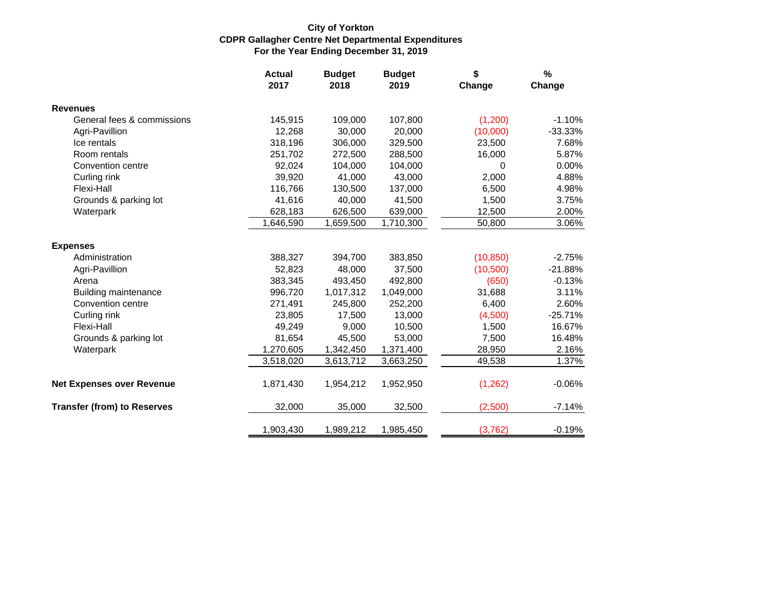### **For the Year Ending December 31, 2019 CDPR Gallagher Centre Net Departmental Expenditures City of Yorkton**

|                                    | <b>Actual</b><br>2017 | <b>Budget</b><br>2018 | <b>Budget</b><br>2019 | \$<br>Change | %<br>Change |
|------------------------------------|-----------------------|-----------------------|-----------------------|--------------|-------------|
| <b>Revenues</b>                    |                       |                       |                       |              |             |
| General fees & commissions         | 145,915               | 109,000               | 107,800               | (1,200)      | $-1.10%$    |
| Agri-Pavillion                     | 12,268                | 30,000                | 20,000                | (10,000)     | $-33.33%$   |
| Ice rentals                        | 318,196               | 306,000               | 329,500               | 23,500       | 7.68%       |
| Room rentals                       | 251,702               | 272,500               | 288,500               | 16,000       | 5.87%       |
| Convention centre                  | 92,024                | 104,000               | 104,000               | 0            | 0.00%       |
| Curling rink                       | 39,920                | 41,000                | 43,000                | 2,000        | 4.88%       |
| Flexi-Hall                         | 116,766               | 130,500               | 137,000               | 6,500        | 4.98%       |
| Grounds & parking lot              | 41,616                | 40,000                | 41,500                | 1,500        | 3.75%       |
| Waterpark                          | 628,183               | 626,500               | 639,000               | 12,500       | 2.00%       |
|                                    | 1,646,590             | 1,659,500             | 1,710,300             | 50,800       | 3.06%       |
| <b>Expenses</b>                    |                       |                       |                       |              |             |
| Administration                     | 388,327               | 394,700               | 383,850               | (10, 850)    | $-2.75%$    |
| Agri-Pavillion                     | 52,823                | 48,000                | 37,500                | (10, 500)    | $-21.88%$   |
| Arena                              | 383,345               | 493,450               | 492,800               | (650)        | $-0.13%$    |
| <b>Building maintenance</b>        | 996,720               | 1,017,312             | 1,049,000             | 31,688       | 3.11%       |
| Convention centre                  | 271,491               | 245,800               | 252,200               | 6,400        | 2.60%       |
| Curling rink                       | 23,805                | 17,500                | 13,000                | (4,500)      | $-25.71%$   |
| Flexi-Hall                         | 49,249                | 9,000                 | 10,500                | 1,500        | 16.67%      |
| Grounds & parking lot              | 81,654                | 45,500                | 53,000                | 7,500        | 16.48%      |
| Waterpark                          | 1,270,605             | 1,342,450             | 1,371,400             | 28,950       | 2.16%       |
|                                    | 3,518,020             | 3,613,712             | 3,663,250             | 49,538       | 1.37%       |
| <b>Net Expenses over Revenue</b>   | 1,871,430             | 1,954,212             | 1,952,950             | (1, 262)     | $-0.06%$    |
| <b>Transfer (from) to Reserves</b> | 32,000                | 35,000                | 32,500                | (2,500)      | $-7.14%$    |
|                                    | 1,903,430             | 1,989,212             | 1,985,450             | (3,762)      | $-0.19%$    |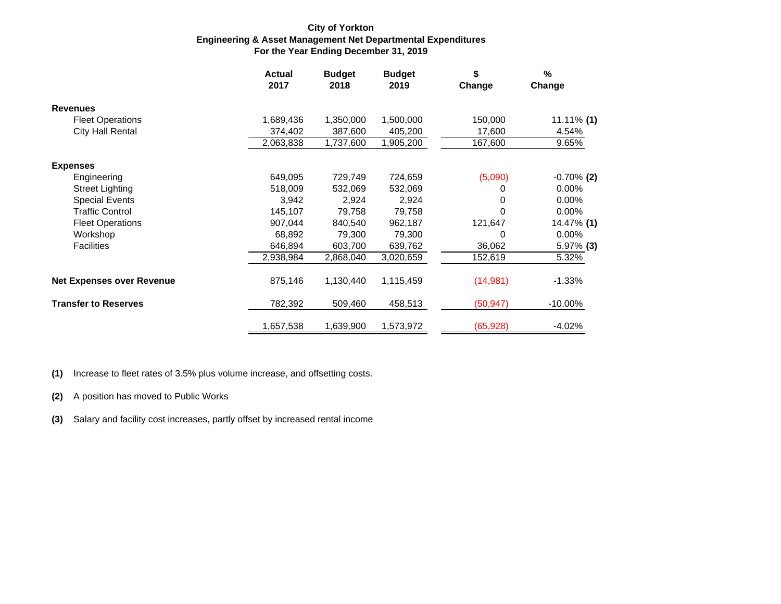#### **For the Year Ending December 31, 2019 Engineering & Asset Management Net Departmental Expenditures City of Yorkton**

|                                  | <b>Actual</b><br>2017 | <b>Budget</b><br>2018 | <b>Budget</b><br>2019 | \$<br>Change | $\frac{9}{6}$<br>Change |
|----------------------------------|-----------------------|-----------------------|-----------------------|--------------|-------------------------|
| <b>Revenues</b>                  |                       |                       |                       |              |                         |
| <b>Fleet Operations</b>          | 1,689,436             | 1,350,000             | 1,500,000             | 150,000      | 11.11% (1)              |
| <b>City Hall Rental</b>          | 374,402               | 387,600               | 405,200               | 17,600       | 4.54%                   |
|                                  | 2,063,838             | 1,737,600             | 1,905,200             | 167,600      | 9.65%                   |
| <b>Expenses</b>                  |                       |                       |                       |              |                         |
| Engineering                      | 649,095               | 729,749               | 724,659               | (5,090)      | $-0.70\%$ (2)           |
| Street Lighting                  | 518,009               | 532,069               | 532,069               | 0            | 0.00%                   |
| <b>Special Events</b>            | 3,942                 | 2,924                 | 2,924                 | 0            | $0.00\%$                |
| <b>Traffic Control</b>           | 145,107               | 79,758                | 79,758                | 0            | 0.00%                   |
| <b>Fleet Operations</b>          | 907,044               | 840,540               | 962,187               | 121,647      | 14.47% (1)              |
| Workshop                         | 68,892                | 79,300                | 79,300                | 0            | 0.00%                   |
| <b>Facilities</b>                | 646,894               | 603,700               | 639,762               | 36,062       | $5.97\%$ (3)            |
|                                  | 2,938,984             | 2,868,040             | 3,020,659             | 152,619      | 5.32%                   |
| <b>Net Expenses over Revenue</b> | 875,146               | 1,130,440             | 1,115,459             | (14, 981)    | $-1.33%$                |
| <b>Transfer to Reserves</b>      | 782,392               | 509,460               | 458,513               | (50, 947)    | $-10.00\%$              |
|                                  | 1,657,538             | 1,639,900             | 1,573,972             | (65, 928)    | $-4.02%$                |

**(1)** Increase to fleet rates of 3.5% plus volume increase, and offsetting costs.

**(2)** A position has moved to Public Works

**(3)** Salary and facility cost increases, partly offset by increased rental income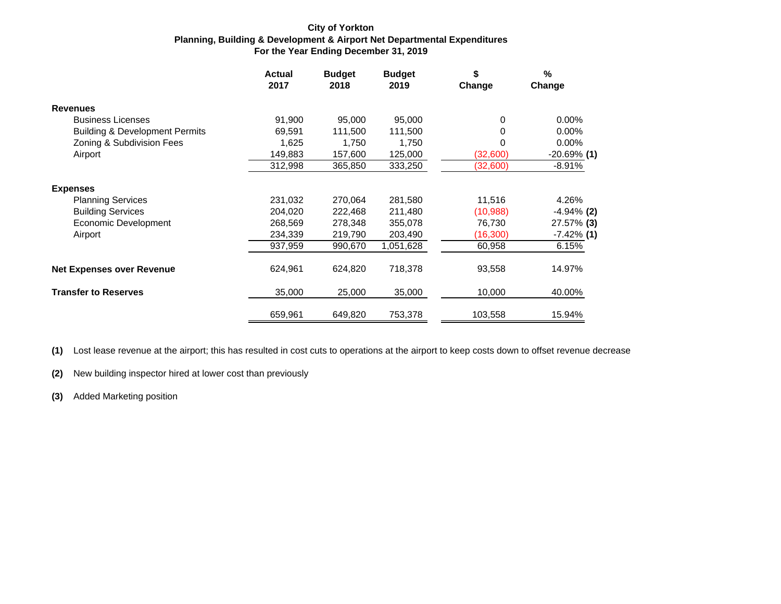#### **For the Year Ending December 31, 2019 Planning, Building & Development & Airport Net Departmental Expenditures City of Yorkton**

|                                           | <b>Actual</b><br>2017 | <b>Budget</b><br>2018 | <b>Budget</b><br>2019 | \$<br>Change | $\frac{9}{6}$<br>Change |
|-------------------------------------------|-----------------------|-----------------------|-----------------------|--------------|-------------------------|
| <b>Revenues</b>                           |                       |                       |                       |              |                         |
| <b>Business Licenses</b>                  | 91,900                | 95,000                | 95,000                | 0            | 0.00%                   |
| <b>Building &amp; Development Permits</b> | 69,591                | 111,500               | 111,500               | 0            | 0.00%                   |
| Zoning & Subdivision Fees                 | 1,625                 | 1,750                 | 1,750                 | 0            | 0.00%                   |
| Airport                                   | 149,883               | 157,600               | 125,000               | (32,600)     | $-20.69%$ (1)           |
|                                           | 312,998               | 365,850               | 333,250               | (32,600)     | $-8.91%$                |
| <b>Expenses</b>                           |                       |                       |                       |              |                         |
| <b>Planning Services</b>                  | 231,032               | 270,064               | 281,580               | 11,516       | 4.26%                   |
| <b>Building Services</b>                  | 204,020               | 222,468               | 211,480               | (10, 988)    | $-4.94\%$ (2)           |
| <b>Economic Development</b>               | 268,569               | 278,348               | 355,078               | 76,730       | 27.57% (3)              |
| Airport                                   | 234,339               | 219,790               | 203,490               | (16, 300)    | $-7.42\%$ (1)           |
|                                           | 937,959               | 990,670               | 1,051,628             | 60,958       | 6.15%                   |
| <b>Net Expenses over Revenue</b>          | 624,961               | 624,820               | 718,378               | 93,558       | 14.97%                  |
| <b>Transfer to Reserves</b>               | 35,000                | 25,000                | 35,000                | 10,000       | 40.00%                  |
|                                           | 659,961               | 649,820               | 753,378               | 103,558      | 15.94%                  |

**(1)** Lost lease revenue at the airport; this has resulted in cost cuts to operations at the airport to keep costs down to offset revenue decrease

**(2)** New building inspector hired at lower cost than previously

**(3)** Added Marketing position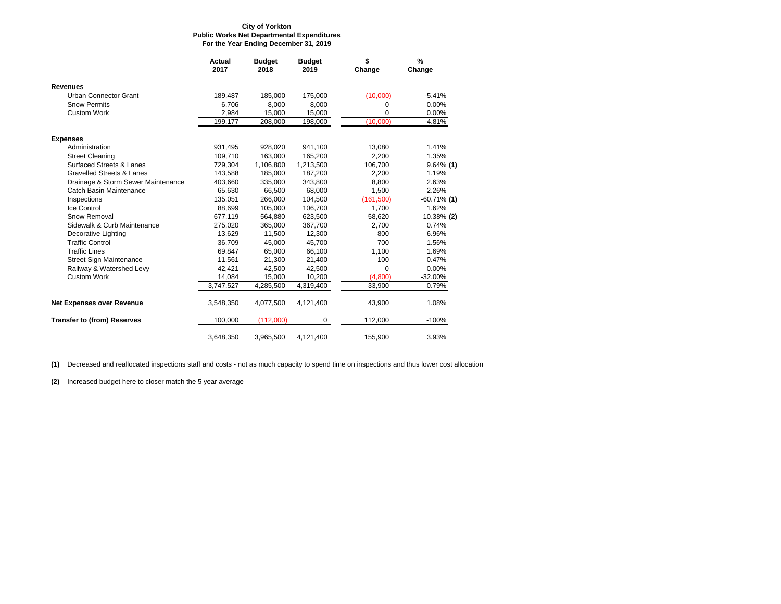#### **For the Year Ending December 31, 2019 Public Works Net Departmental Expenditures City of Yorkton**

|                                      | <b>Actual</b><br>2017 | <b>Budget</b><br>2018 | <b>Budget</b><br>2019 | \$<br>Change | $\%$<br>Change |
|--------------------------------------|-----------------------|-----------------------|-----------------------|--------------|----------------|
| <b>Revenues</b>                      |                       |                       |                       |              |                |
| Urban Connector Grant                | 189,487               | 185,000               | 175,000               | (10,000)     | $-5.41%$       |
| <b>Snow Permits</b>                  | 6.706                 | 8.000                 | 8,000                 | 0            | 0.00%          |
| Custom Work                          | 2,984                 | 15,000                | 15,000                | 0            | 0.00%          |
|                                      | 199,177               | 208,000               | 198,000               | (10,000)     | $-4.81%$       |
| <b>Expenses</b>                      |                       |                       |                       |              |                |
| Administration                       | 931,495               | 928,020               | 941,100               | 13,080       | 1.41%          |
| <b>Street Cleaning</b>               | 109,710               | 163,000               | 165,200               | 2,200        | 1.35%          |
| <b>Surfaced Streets &amp; Lanes</b>  | 729,304               | 1,106,800             | 1,213,500             | 106,700      | $9.64\%$ (1)   |
| <b>Gravelled Streets &amp; Lanes</b> | 143,588               | 185,000               | 187,200               | 2,200        | 1.19%          |
| Drainage & Storm Sewer Maintenance   | 403,660               | 335,000               | 343,800               | 8,800        | 2.63%          |
| Catch Basin Maintenance              | 65,630                | 66,500                | 68,000                | 1,500        | 2.26%          |
| Inspections                          | 135,051               | 266.000               | 104.500               | (161, 500)   | $-60.71\%$ (1) |
| Ice Control                          | 88,699                | 105,000               | 106,700               | 1,700        | 1.62%          |
| Snow Removal                         | 677,119               | 564,880               | 623,500               | 58,620       | 10.38% (2)     |
| Sidewalk & Curb Maintenance          | 275,020               | 365,000               | 367,700               | 2,700        | 0.74%          |
| Decorative Lighting                  | 13,629                | 11,500                | 12,300                | 800          | 6.96%          |
| <b>Traffic Control</b>               | 36,709                | 45,000                | 45,700                | 700          | 1.56%          |
| <b>Traffic Lines</b>                 | 69,847                | 65,000                | 66,100                | 1,100        | 1.69%          |
| <b>Street Sign Maintenance</b>       | 11,561                | 21,300                | 21,400                | 100          | 0.47%          |
| Railway & Watershed Levy             | 42,421                | 42,500                | 42,500                | $\Omega$     | 0.00%          |
| <b>Custom Work</b>                   | 14,084                | 15,000                | 10,200                | (4,800)      | $-32.00%$      |
|                                      | 3,747,527             | 4,285,500             | 4,319,400             | 33,900       | 0.79%          |
| <b>Net Expenses over Revenue</b>     | 3,548,350             | 4,077,500             | 4,121,400             | 43,900       | 1.08%          |
| <b>Transfer to (from) Reserves</b>   | 100,000               | (112,000)             | 0                     | 112,000      | $-100%$        |
|                                      | 3,648,350             | 3,965,500             | 4,121,400             | 155,900      | 3.93%          |

**(1)** Decreased and reallocated inspections staff and costs - not as much capacity to spend time on inspections and thus lower cost allocation

**(2)** Increased budget here to closer match the 5 year average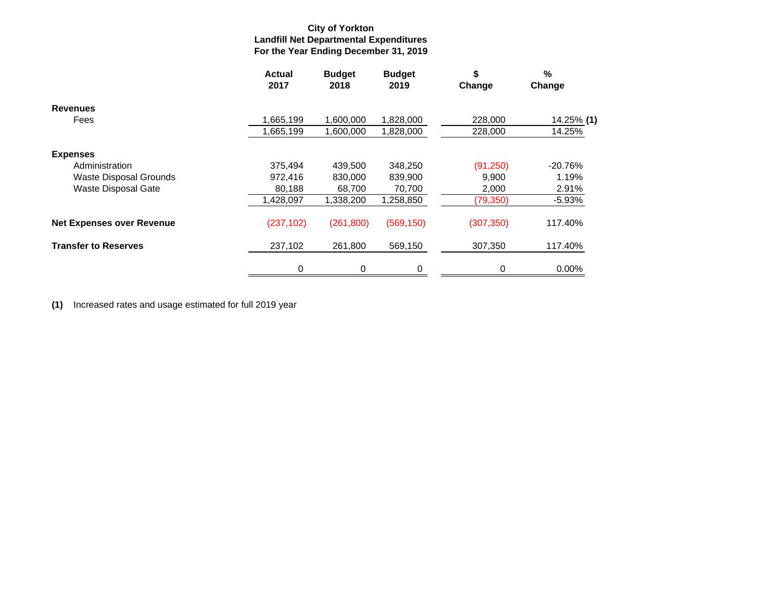### **For the Year Ending December 31, 2019 Landfill Net Departmental Expenditures City of Yorkton**

|                                  | <b>Actual</b><br>2017 | <b>Budget</b><br>2018 | <b>Budget</b><br>2019 | \$<br>Change | %<br>Change |
|----------------------------------|-----------------------|-----------------------|-----------------------|--------------|-------------|
| <b>Revenues</b>                  |                       |                       |                       |              |             |
| Fees                             | 1,665,199             | 1,600,000             | 1,828,000             | 228,000      | 14.25% (1)  |
|                                  | 665,199,ا             | 1,600,000             | 1,828,000             | 228,000      | 14.25%      |
| <b>Expenses</b>                  |                       |                       |                       |              |             |
| Administration                   | 375.494               | 439,500               | 348,250               | (91, 250)    | $-20.76%$   |
| <b>Waste Disposal Grounds</b>    | 972,416               | 830,000               | 839,900               | 9,900        | 1.19%       |
| Waste Disposal Gate              | 80,188                | 68,700                | 70,700                | 2,000        | 2.91%       |
|                                  | 1,428,097             | 1,338,200             | 1,258,850             | (79, 350)    | $-5.93%$    |
| <b>Net Expenses over Revenue</b> | (237, 102)            | (261, 800)            | (569, 150)            | (307, 350)   | 117.40%     |
| <b>Transfer to Reserves</b>      | 237,102               | 261,800               | 569,150               | 307,350      | 117.40%     |
|                                  | 0                     | 0                     | 0                     | 0            | 0.00%       |

**(1)** Increased rates and usage estimated for full 2019 year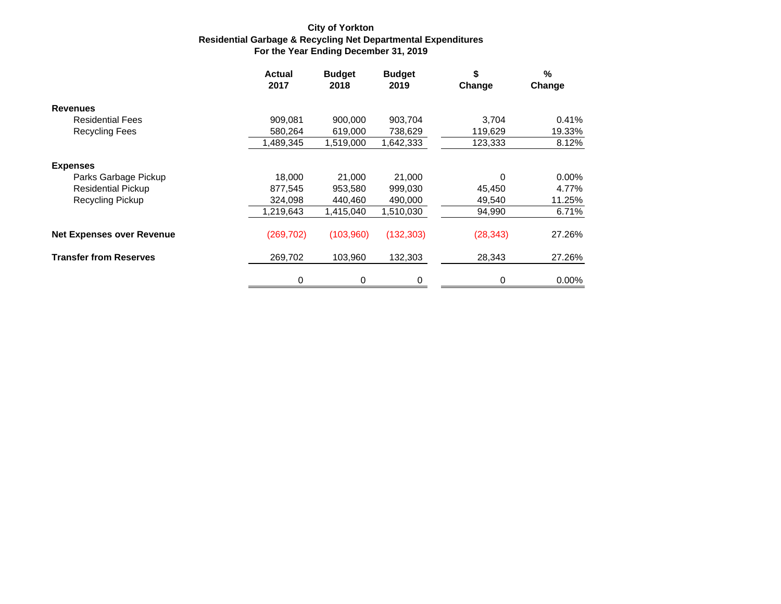### **For the Year Ending December 31, 2019 Residential Garbage & Recycling Net Departmental Expenditures City of Yorkton**

|                                  | <b>Actual</b><br>2017 | <b>Budget</b><br>2018 | <b>Budget</b><br>2019 | \$<br>Change | %<br>Change |
|----------------------------------|-----------------------|-----------------------|-----------------------|--------------|-------------|
| <b>Revenues</b>                  |                       |                       |                       |              |             |
| <b>Residential Fees</b>          | 909,081               | 900,000               | 903,704               | 3,704        | 0.41%       |
| <b>Recycling Fees</b>            | 580,264               | 619,000               | 738,629               | 119,629      | 19.33%      |
|                                  | 1,489,345             | 1,519,000             | 1,642,333             | 123,333      | 8.12%       |
| <b>Expenses</b>                  |                       |                       |                       |              |             |
| Parks Garbage Pickup             | 18,000                | 21,000                | 21,000                | 0            | 0.00%       |
| <b>Residential Pickup</b>        | 877,545               | 953,580               | 999,030               | 45,450       | 4.77%       |
| <b>Recycling Pickup</b>          | 324,098               | 440,460               | 490,000               | 49,540       | 11.25%      |
|                                  | 1,219,643             | 1,415,040             | 1,510,030             | 94,990       | 6.71%       |
| <b>Net Expenses over Revenue</b> | (269, 702)            | (103,960)             | (132, 303)            | (28, 343)    | 27.26%      |
| <b>Transfer from Reserves</b>    | 269,702               | 103,960               | 132,303               | 28,343       | 27.26%      |
|                                  | 0                     | 0                     | 0                     | 0            | 0.00%       |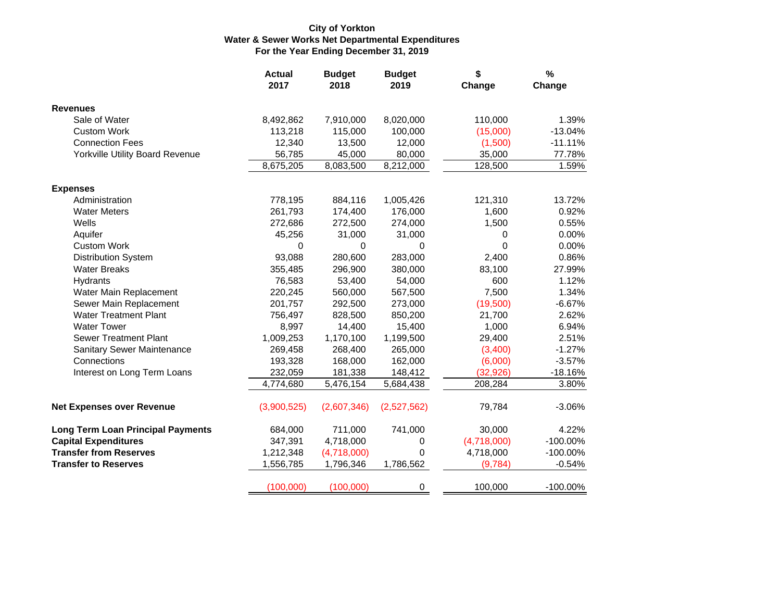### **City of Yorkton Water & Sewer Works Net Departmental Expenditures For the Year Ending December 31, 2019**

|                                          | <b>Actual</b><br>2017 | <b>Budget</b><br>2018 | <b>Budget</b><br>2019 | \$<br>Change | $\frac{1}{2}$<br>Change |
|------------------------------------------|-----------------------|-----------------------|-----------------------|--------------|-------------------------|
| <b>Revenues</b>                          |                       |                       |                       |              |                         |
| Sale of Water                            | 8,492,862             | 7,910,000             | 8,020,000             | 110,000      | 1.39%                   |
| <b>Custom Work</b>                       | 113,218               | 115,000               | 100,000               | (15,000)     | $-13.04%$               |
| <b>Connection Fees</b>                   | 12,340                | 13,500                | 12,000                | (1,500)      | $-11.11%$               |
| <b>Yorkville Utility Board Revenue</b>   | 56,785                | 45,000                | 80,000                | 35,000       | 77.78%                  |
|                                          | 8,675,205             | 8,083,500             | 8,212,000             | 128,500      | 1.59%                   |
| <b>Expenses</b>                          |                       |                       |                       |              |                         |
| Administration                           | 778,195               | 884,116               | 1,005,426             | 121,310      | 13.72%                  |
| <b>Water Meters</b>                      | 261,793               | 174,400               | 176,000               | 1,600        | 0.92%                   |
| Wells                                    | 272,686               | 272,500               | 274,000               | 1,500        | 0.55%                   |
| Aquifer                                  | 45,256                | 31,000                | 31,000                | 0            | 0.00%                   |
| <b>Custom Work</b>                       | 0                     | 0                     | $\Omega$              | $\Omega$     | 0.00%                   |
| <b>Distribution System</b>               | 93,088                | 280,600               | 283,000               | 2,400        | 0.86%                   |
| <b>Water Breaks</b>                      | 355,485               | 296,900               | 380,000               | 83,100       | 27.99%                  |
| Hydrants                                 | 76,583                | 53,400                | 54,000                | 600          | 1.12%                   |
| Water Main Replacement                   | 220,245               | 560,000               | 567,500               | 7,500        | 1.34%                   |
| Sewer Main Replacement                   | 201,757               | 292,500               | 273,000               | (19,500)     | $-6.67%$                |
| <b>Water Treatment Plant</b>             | 756,497               | 828,500               | 850,200               | 21,700       | 2.62%                   |
| <b>Water Tower</b>                       | 8,997                 | 14,400                | 15,400                | 1,000        | 6.94%                   |
| <b>Sewer Treatment Plant</b>             | 1,009,253             | 1,170,100             | 1,199,500             | 29,400       | 2.51%                   |
| Sanitary Sewer Maintenance               | 269,458               | 268,400               | 265,000               | (3,400)      | $-1.27%$                |
| Connections                              | 193,328               | 168,000               | 162,000               | (6,000)      | $-3.57%$                |
| Interest on Long Term Loans              | 232,059               | 181,338               | 148,412               | (32, 926)    | $-18.16%$               |
|                                          | 4,774,680             | 5,476,154             | 5,684,438             | 208,284      | 3.80%                   |
| <b>Net Expenses over Revenue</b>         | (3,900,525)           | (2,607,346)           | (2,527,562)           | 79,784       | $-3.06%$                |
| <b>Long Term Loan Principal Payments</b> | 684,000               | 711,000               | 741,000               | 30,000       | 4.22%                   |
| <b>Capital Expenditures</b>              | 347,391               | 4,718,000             | 0                     | (4,718,000)  | -100.00%                |
| <b>Transfer from Reserves</b>            | 1,212,348             | (4,718,000)           | 0                     | 4,718,000    | $-100.00\%$             |
| <b>Transfer to Reserves</b>              | 1,556,785             | 1,796,346             | 1,786,562             | (9,784)      | $-0.54%$                |
|                                          | (100,000)             | (100,000)             | 0                     | 100,000      | $-100.00\%$             |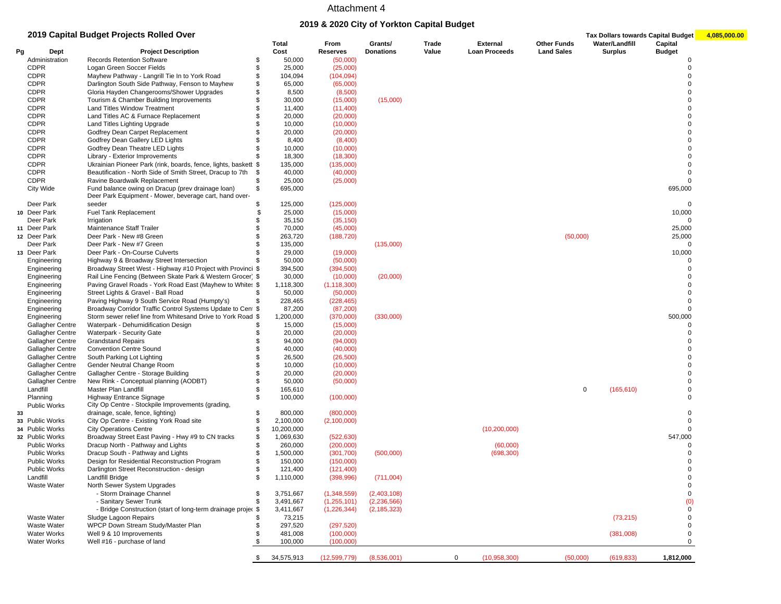### **2019 & 2020 City of Yorkton Capital Budget**

|    |                     | 2019 Capital Budget Projects Rolled Over                                                                    |               | Total      | From            | Grants/          | Trade | <b>External</b>      | <b>Other Funds</b> |   | Water/Landfill | Tax Dollars towards Capital Budget<br>Capital | 4,085,000.00 |
|----|---------------------|-------------------------------------------------------------------------------------------------------------|---------------|------------|-----------------|------------------|-------|----------------------|--------------------|---|----------------|-----------------------------------------------|--------------|
| Рg | Dept                | <b>Project Description</b>                                                                                  |               | Cost       | <b>Reserves</b> | <b>Donations</b> | Value | <b>Loan Proceeds</b> | <b>Land Sales</b>  |   | <b>Surplus</b> | <b>Budget</b>                                 |              |
|    | Administration      | <b>Records Retention Software</b>                                                                           | \$            | 50,000     | (50,000)        |                  |       |                      |                    |   |                |                                               |              |
|    | <b>CDPR</b>         | Logan Green Soccer Fields                                                                                   | \$            | 25,000     | (25,000)        |                  |       |                      |                    |   |                | $\Omega$                                      |              |
|    | <b>CDPR</b>         | Mayhew Pathway - Langrill Tie In to York Road                                                               | \$            | 104,094    | (104, 094)      |                  |       |                      |                    |   |                | $\Omega$                                      |              |
|    | <b>CDPR</b>         | Darlington South Side Pathway, Fenson to Mayhew                                                             | \$            | 65,000     | (65,000)        |                  |       |                      |                    |   |                | $\Omega$                                      |              |
|    | <b>CDPR</b>         | Gloria Hayden Changerooms/Shower Upgrades                                                                   | \$            | 8,500      | (8,500)         |                  |       |                      |                    |   |                | $\Omega$                                      |              |
|    | <b>CDPR</b>         | Tourism & Chamber Building Improvements                                                                     | \$            | 30,000     | (15,000)        | (15,000)         |       |                      |                    |   |                | $\Omega$                                      |              |
|    | <b>CDPR</b>         | Land Titles Window Treatment                                                                                | \$.           | 11,400     | (11, 400)       |                  |       |                      |                    |   |                | $\Omega$                                      |              |
|    | <b>CDPR</b>         | Land Titles AC & Furnace Replacement                                                                        | \$            | 20,000     | (20,000)        |                  |       |                      |                    |   |                | 0                                             |              |
|    | <b>CDPR</b>         | Land Titles Lighting Upgrade                                                                                | \$            | 10,000     | (10,000)        |                  |       |                      |                    |   |                | $\Omega$                                      |              |
|    | <b>CDPR</b>         | Godfrey Dean Carpet Replacement                                                                             | \$.           | 20,000     | (20,000)        |                  |       |                      |                    |   |                | $\Omega$                                      |              |
|    | <b>CDPR</b>         | Godfrey Dean Gallery LED Lights                                                                             | \$            | 8,400      | (8,400)         |                  |       |                      |                    |   |                | $\Omega$                                      |              |
|    | <b>CDPR</b>         | Godfrey Dean Theatre LED Lights                                                                             | \$            | 10,000     | (10,000)        |                  |       |                      |                    |   |                | $\Omega$                                      |              |
|    | <b>CDPR</b>         | Library - Exterior Improvements                                                                             |               | 18,300     | (18, 300)       |                  |       |                      |                    |   |                | $\Omega$                                      |              |
|    | <b>CDPR</b>         | Ukrainian Pioneer Park (rink, boards, fence, lights, baskett \$                                             |               | 135,000    | (135,000)       |                  |       |                      |                    |   |                | $\Omega$                                      |              |
|    | <b>CDPR</b>         |                                                                                                             |               |            |                 |                  |       |                      |                    |   |                | $\Omega$                                      |              |
|    | <b>CDPR</b>         | Beautification - North Side of Smith Street, Dracup to 7th \$                                               | S.            | 40,000     | (40,000)        |                  |       |                      |                    |   |                | $\Omega$                                      |              |
|    |                     | Ravine Boardwalk Replacement                                                                                | \$            | 25,000     | (25,000)        |                  |       |                      |                    |   |                |                                               |              |
|    | City Wide           | Fund balance owing on Dracup (prev drainage loan)<br>Deer Park Equipment - Mower, beverage cart, hand over- |               | 695,000    |                 |                  |       |                      |                    |   |                | 695,000                                       |              |
|    | Deer Park           | seeder                                                                                                      | \$            | 125,000    | (125,000)       |                  |       |                      |                    |   |                | 0                                             |              |
|    | 10 Deer Park        | Fuel Tank Replacement                                                                                       | <sup>\$</sup> | 25,000     | (15,000)        |                  |       |                      |                    |   |                | 10,000                                        |              |
|    | Deer Park           | Irrigation                                                                                                  | \$            | 35,150     | (35, 150)       |                  |       |                      |                    |   |                | $\Omega$                                      |              |
|    | 11 Deer Park        | Maintenance Staff Trailer                                                                                   | \$            | 70,000     | (45,000)        |                  |       |                      |                    |   |                | 25,000                                        |              |
|    | 12 Deer Park        | Deer Park - New #8 Green                                                                                    | \$            | 263,720    | (188, 720)      |                  |       |                      | (50,000)           |   |                | 25,000                                        |              |
|    | Deer Park           | Deer Park - New #7 Green                                                                                    | \$.           | 135,000    |                 | (135,000)        |       |                      |                    |   |                | $\Omega$                                      |              |
|    | 13 Deer Park        | Deer Park - On-Course Culverts                                                                              | \$.           | 29,000     | (19,000)        |                  |       |                      |                    |   |                | 10,000                                        |              |
|    | Engineering         | Highway 9 & Broadway Street Intersection                                                                    |               | 50,000     | (50,000)        |                  |       |                      |                    |   |                | $\Omega$                                      |              |
|    | Engineering         | Broadway Street West - Highway #10 Project with Provinci \$                                                 |               | 394,500    | (394, 500)      |                  |       |                      |                    |   |                | $\Omega$                                      |              |
|    | Engineering         | Rail Line Fencing (Between Skate Park & Western Grocer) \$                                                  |               | 30,000     | (10,000)        | (20,000)         |       |                      |                    |   |                | $\Omega$                                      |              |
|    | Engineering         | Paving Gravel Roads - York Road East (Mayhew to White: \$                                                   |               | 1,118,300  | (1, 118, 300)   |                  |       |                      |                    |   |                | $\Omega$                                      |              |
|    | Engineering         | Street Lights & Gravel - Ball Road                                                                          | \$.           | 50,000     | (50,000)        |                  |       |                      |                    |   |                | $\Omega$                                      |              |
|    | Engineering         | Paving Highway 9 South Service Road (Humpty's)                                                              | \$            | 228,465    | (228, 465)      |                  |       |                      |                    |   |                | $\Omega$                                      |              |
|    | Engineering         | Broadway Corridor Traffic Control Systems Update to Cent \$                                                 |               | 87,200     | (87, 200)       |                  |       |                      |                    |   |                | $\Omega$                                      |              |
|    | Engineering         | Storm sewer relief line from Whitesand Drive to York Road \$                                                |               | 1,200,000  | (370,000)       | (330,000)        |       |                      |                    |   |                | 500,000                                       |              |
|    | Gallagher Centre    | Waterpark - Dehumidification Design                                                                         | \$.           | 15,000     | (15,000)        |                  |       |                      |                    |   |                | $\Omega$                                      |              |
|    | Gallagher Centre    | Waterpark - Security Gate                                                                                   | \$            | 20,000     | (20,000)        |                  |       |                      |                    |   |                | $\Omega$                                      |              |
|    | Gallagher Centre    | <b>Grandstand Repairs</b>                                                                                   | \$            | 94,000     | (94,000)        |                  |       |                      |                    |   |                | $\Omega$                                      |              |
|    | Gallagher Centre    | <b>Convention Centre Sound</b>                                                                              |               | 40,000     | (40,000)        |                  |       |                      |                    |   |                | $\Omega$                                      |              |
|    | Gallagher Centre    | South Parking Lot Lighting                                                                                  |               | 26,500     | (26, 500)       |                  |       |                      |                    |   |                | $\Omega$                                      |              |
|    | Gallagher Centre    | Gender Neutral Change Room                                                                                  | \$.           | 10,000     | (10,000)        |                  |       |                      |                    |   |                | $\Omega$                                      |              |
|    | Gallagher Centre    | Gallagher Centre - Storage Building                                                                         | \$            | 20,000     | (20,000)        |                  |       |                      |                    |   |                | 0                                             |              |
|    | Gallagher Centre    | New Rink - Conceptual planning (AODBT)                                                                      | \$            | 50,000     | (50,000)        |                  |       |                      |                    |   |                | $\Omega$                                      |              |
|    | Landfill            | Master Plan Landfill                                                                                        | \$            | 165,610    |                 |                  |       |                      |                    | 0 | (165, 610)     | $\mathbf 0$                                   |              |
|    | Planning            | Highway Entrance Signage                                                                                    | \$            | 100,000    | (100,000)       |                  |       |                      |                    |   |                | $\Omega$                                      |              |
|    | <b>Public Works</b> | City Op Centre - Stockpile Improvements (grading,                                                           |               |            |                 |                  |       |                      |                    |   |                |                                               |              |
| 33 |                     | drainage, scale, fence, lighting)                                                                           | \$            | 800,000    | (800,000)       |                  |       |                      |                    |   |                | $\Omega$                                      |              |
|    | 33 Public Works     | City Op Centre - Existing York Road site                                                                    | \$            | 2,100,000  | (2,100,000)     |                  |       |                      |                    |   |                | $\Omega$                                      |              |
|    | 34 Public Works     | <b>City Operations Centre</b>                                                                               | \$            | 10,200,000 |                 |                  |       | (10, 200, 000)       |                    |   |                | $\Omega$                                      |              |
|    | 32 Public Works     | Broadway Street East Paving - Hwy #9 to CN tracks                                                           | \$            | 1,069,630  | (522, 630)      |                  |       |                      |                    |   |                | 547,000                                       |              |
|    | <b>Public Works</b> | Dracup North - Pathway and Lights                                                                           | \$            | 260,000    | (200,000)       |                  |       | (60,000)             |                    |   |                |                                               |              |
|    | <b>Public Works</b> | Dracup South - Pathway and Lights                                                                           | \$            | 1,500,000  | (301,700)       | (500,000)        |       | (698, 300)           |                    |   |                | $\Omega$                                      |              |
|    | <b>Public Works</b> | Design for Residential Reconstruction Program                                                               | \$            | 150,000    | (150,000)       |                  |       |                      |                    |   |                | $\Omega$                                      |              |
|    | <b>Public Works</b> | Darlington Street Reconstruction - design                                                                   | Я.            | 121,400    | (121, 400)      |                  |       |                      |                    |   |                | $\Omega$                                      |              |
|    | Landfill            | Landfill Bridge                                                                                             | \$            | 1,110,000  | (398, 996)      | (711,004)        |       |                      |                    |   |                | $\mathbf 0$                                   |              |
|    | <b>Waste Water</b>  | North Sewer System Upgrades                                                                                 |               |            |                 |                  |       |                      |                    |   |                | $\mathbf 0$                                   |              |
|    |                     | - Storm Drainage Channel                                                                                    | S.            | 3,751,667  | (1,348,559)     | (2,403,108)      |       |                      |                    |   |                | 0                                             |              |
|    |                     | - Sanitary Sewer Trunk                                                                                      | \$            | 3,491,667  |                 | (2, 236, 566)    |       |                      |                    |   |                |                                               |              |
|    |                     |                                                                                                             |               |            | (1,255,101)     |                  |       |                      |                    |   |                | (0)                                           |              |
|    |                     | - Bridge Construction (start of long-term drainage projec \$                                                |               | 3,411,667  | (1,226,344)     | (2, 185, 323)    |       |                      |                    |   |                | 0                                             |              |
|    | <b>Waste Water</b>  | Sludge Lagoon Repairs                                                                                       | S.            | 73,215     |                 |                  |       |                      |                    |   | (73, 215)      | $\mathbf 0$                                   |              |
|    | Waste Water         | WPCP Down Stream Study/Master Plan                                                                          | \$            | 297,520    | (297, 520)      |                  |       |                      |                    |   |                | 0                                             |              |
|    | <b>Water Works</b>  | Well 9 & 10 Improvements                                                                                    | \$            | 481,008    | (100,000)       |                  |       |                      |                    |   | (381,008)      | 0                                             |              |
|    | <b>Water Works</b>  | Well #16 - purchase of land                                                                                 | \$            | 100,000    | (100,000)       |                  |       |                      |                    |   |                | 0                                             |              |
|    |                     |                                                                                                             | \$            | 34,575,913 | (12,599,779)    | (8,536,001)      |       | (10, 958, 300)<br>0  | (50,000)           |   | (619, 833)     | 1,812,000                                     |              |
|    |                     |                                                                                                             |               |            |                 |                  |       |                      |                    |   |                |                                               |              |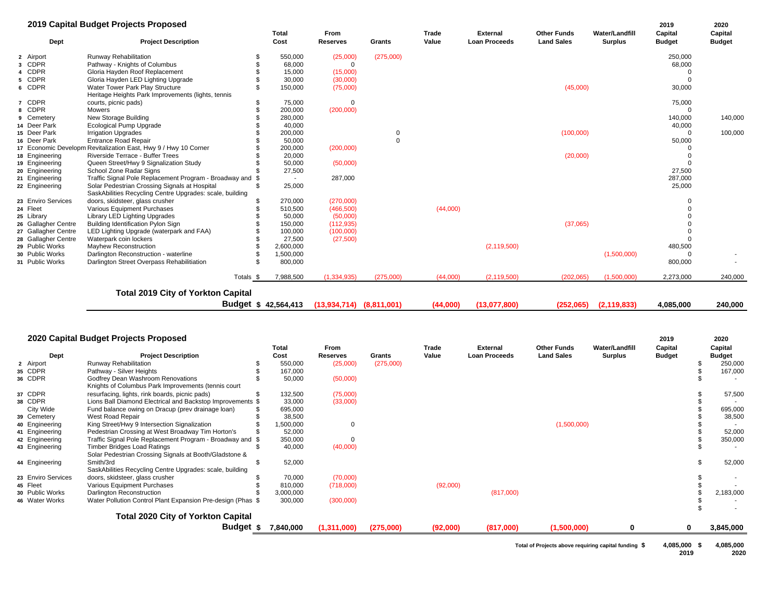|                     | 2019 Capital Budget Projects Proposed                                                 |           |                            |                              |           |                |                                         |                                         |                                         | 2019                     | 2020                     |
|---------------------|---------------------------------------------------------------------------------------|-----------|----------------------------|------------------------------|-----------|----------------|-----------------------------------------|-----------------------------------------|-----------------------------------------|--------------------------|--------------------------|
| <b>Dept</b>         | <b>Project Description</b>                                                            |           | <b>Total</b><br>Cost       | From<br><b>Reserves</b>      | Grants    | Trade<br>Value | <b>External</b><br><b>Loan Proceeds</b> | <b>Other Funds</b><br><b>Land Sales</b> | <b>Water/Landfill</b><br><b>Surplus</b> | Capital<br><b>Budget</b> | Capital<br><b>Budget</b> |
| 2 Airport           | Runway Rehabilitation                                                                 |           | 550,000                    | (25,000)                     | (275,000) |                |                                         |                                         |                                         | 250,000                  |                          |
| 3 CDPR              | Pathway - Knights of Columbus                                                         |           | 68,000                     | $\Omega$                     |           |                |                                         |                                         |                                         | 68,000                   |                          |
| 4 CDPR              | Gloria Hayden Roof Replacement                                                        |           | 15,000                     | (15,000)                     |           |                |                                         |                                         |                                         |                          |                          |
| 5 CDPR              | Gloria Hayden LED Lighting Upgrade                                                    |           | 30,000                     | (30,000)                     |           |                |                                         |                                         |                                         | $\Omega$                 |                          |
| 6 CDPR              | Water Tower Park Play Structure<br>Heritage Heights Park Improvements (lights, tennis |           | 150,000                    | (75,000)                     |           |                |                                         | (45,000)                                |                                         | 30,000                   |                          |
| 7 CDPR              | courts, picnic pads)                                                                  |           | 75,000                     | $\mathbf 0$                  |           |                |                                         |                                         |                                         | 75,000                   |                          |
| 8 CDPR              | <b>Mowers</b>                                                                         |           | 200,000                    | (200,000)                    |           |                |                                         |                                         |                                         | $\Omega$                 |                          |
| 9 Cemetery          | New Storage Building                                                                  |           | 280,000                    |                              |           |                |                                         |                                         |                                         | 140,000                  | 140,000                  |
| 14 Deer Park        | <b>Ecological Pump Upgrade</b>                                                        |           | 40,000                     |                              |           |                |                                         |                                         |                                         | 40,000                   |                          |
| 15 Deer Park        | <b>Irrigation Upgrades</b>                                                            |           | 200,000                    |                              |           |                |                                         | (100,000)                               |                                         | $\Omega$                 | 100,000                  |
| 16 Deer Park        | <b>Entrance Road Repair</b>                                                           |           | 50,000                     |                              | $\Omega$  |                |                                         |                                         |                                         | 50,000                   |                          |
|                     | 17 Economic Developm Revitalization East, Hwy 9 / Hwy 10 Corner                       |           | 200,000                    | (200,000)                    |           |                |                                         |                                         |                                         |                          |                          |
| 18 Engineering      | Riverside Terrace - Buffer Trees                                                      |           | 20,000                     |                              |           |                |                                         | (20,000)                                |                                         | $\Omega$                 |                          |
| 19 Engineering      | Queen Street/Hwy 9 Signalization Study                                                |           | 50,000                     | (50,000)                     |           |                |                                         |                                         |                                         | $\Omega$                 |                          |
| 20 Engineering      | School Zone Radar Signs                                                               |           | 27,500                     |                              |           |                |                                         |                                         |                                         | 27,500                   |                          |
| 21 Engineering      | Traffic Signal Pole Replacement Program - Broadway and \$                             |           | $\blacksquare$             | 287,000                      |           |                |                                         |                                         |                                         | 287,000                  |                          |
| 22 Engineering      | Solar Pedestrian Crossing Signals at Hospital                                         |           | 25,000                     |                              |           |                |                                         |                                         |                                         | 25,000                   |                          |
|                     | SaskAbilities Recycling Centre Upgrades: scale, building                              |           |                            |                              |           |                |                                         |                                         |                                         |                          |                          |
| 23 Enviro Services  | doors, skidsteer, glass crusher                                                       |           | 270,000                    | (270,000)                    |           |                |                                         |                                         |                                         | $\Omega$                 |                          |
| 24 Fleet            | Various Equipment Purchases                                                           |           | 510,500                    | (466, 500)                   |           | (44,000)       |                                         |                                         |                                         |                          |                          |
| 25 Library          | Library LED Lighting Upgrades                                                         |           | 50,000                     | (50,000)                     |           |                |                                         |                                         |                                         |                          |                          |
| 26 Gallagher Centre | Building Identification Pylon Sign                                                    |           | 150,000                    | (112, 935)                   |           |                |                                         | (37,065)                                |                                         |                          |                          |
| 27 Gallagher Centre | LED Lighting Upgrade (waterpark and FAA)                                              |           | 100,000<br>27,500          | (100,000)                    |           |                |                                         |                                         |                                         |                          |                          |
| 28 Gallagher Centre | Waterpark coin lockers                                                                |           |                            | (27,500)                     |           |                |                                         |                                         |                                         |                          |                          |
| 29 Public Works     | Mayhew Reconstruction                                                                 |           | 2,600,000                  |                              |           |                | (2, 119, 500)                           |                                         |                                         | 480,500                  |                          |
| 30 Public Works     | Darlington Reconstruction - waterline                                                 |           | 1,500,000                  |                              |           |                |                                         |                                         | (1,500,000)                             |                          |                          |
| 31 Public Works     | Darlington Street Overpass Rehabilitiation                                            |           | 800,000                    |                              |           |                |                                         |                                         |                                         | 800,000                  |                          |
|                     |                                                                                       | Totals \$ | 7,988,500                  | (1,334,935)                  | (275,000) | (44,000)       | (2, 119, 500)                           | (202,065)                               | (1,500,000)                             | 2,273,000                | 240,000                  |
|                     | <b>Total 2019 City of Yorkton Capital</b>                                             |           |                            |                              |           |                |                                         |                                         |                                         |                          |                          |
|                     |                                                                                       |           | <b>Budget \$42,564,413</b> | $(13,934,714)$ $(8,811,001)$ |           | (44,000)       | (13,077,800)                            | (252,065)                               | (2, 119, 833)                           | 4,085,000                | 240,000                  |

#### **2020 Capital Budget Projects Proposed <sup>2019</sup> <sup>2020</sup>**

|                    |                                                             | Total     | <b>From</b>     |           | Trade    | <b>External</b>      | <b>Other Funds</b> | <b>Water/Landfill</b> | Capital       | Capital       |
|--------------------|-------------------------------------------------------------|-----------|-----------------|-----------|----------|----------------------|--------------------|-----------------------|---------------|---------------|
| Dept               | <b>Project Description</b>                                  | Cost      | <b>Reserves</b> | Grants    | Value    | <b>Loan Proceeds</b> | <b>Land Sales</b>  | <b>Surplus</b>        | <b>Budget</b> | <b>Budget</b> |
| 2 Airport          | <b>Runway Rehabilitation</b>                                | 550,000   | (25,000)        | (275,000) |          |                      |                    |                       |               | 250,000       |
| 35 CDPR            | Pathway - Silver Heights                                    | 167,000   |                 |           |          |                      |                    |                       |               | 167,000       |
| 36 CDPR            | Godfrey Dean Washroom Renovations                           | 50,000    | (50,000)        |           |          |                      |                    |                       |               |               |
|                    | Knights of Columbus Park Improvements (tennis court         |           |                 |           |          |                      |                    |                       |               |               |
| 37 CDPR            | resurfacing, lights, rink boards, picnic pads)              | 132,500   | (75,000)        |           |          |                      |                    |                       |               | 57,500        |
| 38 CDPR            | Lions Ball Diamond Electrical and Backstop Improvements \$  | 33,000    | (33,000)        |           |          |                      |                    |                       |               |               |
| City Wide          | Fund balance owing on Dracup (prev drainage loan)           | 695,000   |                 |           |          |                      |                    |                       |               | 695,000       |
| 39 Cemetery        | West Road Repair                                            | 38,500    |                 |           |          |                      |                    |                       |               | 38,500        |
| 40 Engineering     | King Street/Hwy 9 Intersection Signalization                | 1,500,000 | 0               |           |          |                      | (1,500,000)        |                       |               |               |
| 41 Engineering     | Pedestrian Crossing at West Broadway Tim Horton's           | 52,000    |                 |           |          |                      |                    |                       |               | 52,000        |
| 42 Engineering     | Traffic Signal Pole Replacement Program - Broadway and \$   | 350,000   |                 |           |          |                      |                    |                       |               | 350,000       |
| 43 Engineering     | <b>Timber Bridges Load Ratings</b>                          | 40,000    | (40,000)        |           |          |                      |                    |                       |               |               |
|                    | Solar Pedestrian Crossing Signals at Booth/Gladstone &      |           |                 |           |          |                      |                    |                       |               |               |
| 44 Engineering     | Smith/3rd                                                   | 52,000    |                 |           |          |                      |                    |                       |               | 52,000        |
|                    | SaskAbilities Recycling Centre Upgrades: scale, building    |           |                 |           |          |                      |                    |                       |               |               |
| 23 Enviro Services | doors, skidsteer, glass crusher                             | 70,000    | (70,000)        |           |          |                      |                    |                       |               |               |
| 45 Fleet           | Various Equipment Purchases                                 | 810,000   | (718,000)       |           | (92,000) |                      |                    |                       |               |               |
| 30 Public Works    | Darlington Reconstruction                                   | 3,000,000 |                 |           |          | (817,000)            |                    |                       |               | 2,183,000     |
| 46 Water Works     | Water Pollution Control Plant Expansion Pre-design (Phas \$ | 300,000   | (300,000)       |           |          |                      |                    |                       |               |               |
|                    | <b>Total 2020 City of Yorkton Capital</b>                   |           |                 |           |          |                      |                    |                       |               |               |
|                    | Budget                                                      | 7,840,000 | (1,311,000)     | (275,000) | (92,000) | (817,000)            | (1,500,000)        | 0                     | 0             | 3,845,000     |

**Total of Projects above requiring capital funding \$ 4,085,000 4,085,000 \$** 

**2019 2020**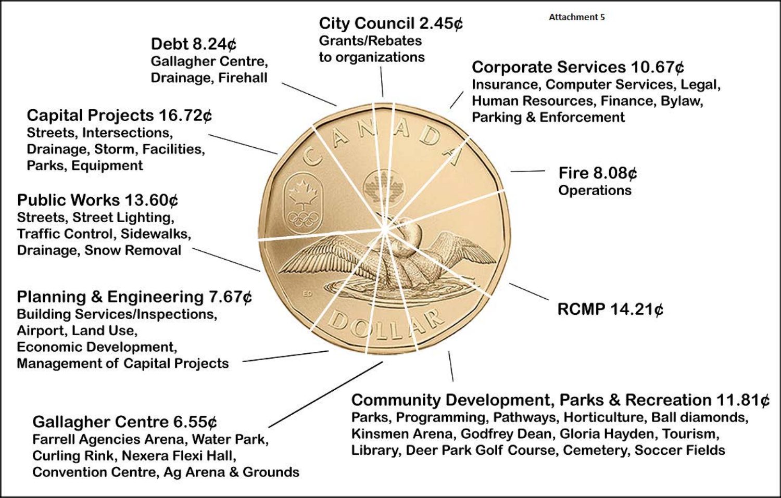**Attachment 5** City Council 2.45¢ **Grants/Rebates** Debt  $8.24¢$ to organizations Gallagher Centre, Corporate Services 10.67¢ Drainage, Firehall Insurance, Computer Services, Legal, Human Resources, Finance, Bylaw, Capital Projects 16.72¢ **Parking & Enforcement** Streets, Intersections, Drainage, Storm, Facilities, Parks, Equipment Fire  $8.08¢$ **Operations** Public Works 13.60¢ Streets, Street Lighting, **Traffic Control, Sidewalks, Drainage, Snow Removal** Planning & Engineering 7.67¢ RCMP 14.21¢ **Building Services/Inspections,** Airport, Land Use, **Economic Development, Management of Capital Projects** Community Development, Parks & Recreation 11.81¢ Parks, Programming, Pathways, Horticulture, Ball diamonds, Gallagher Centre 6.55¢ Kinsmen Arena, Godfrey Dean, Gloria Hayden, Tourism, Farrell Agencies Arena, Water Park, Library, Deer Park Golf Course, Cemetery, Soccer Fields

Curling Rink, Nexera Flexi Hall, **Convention Centre, Ag Arena & Grounds**